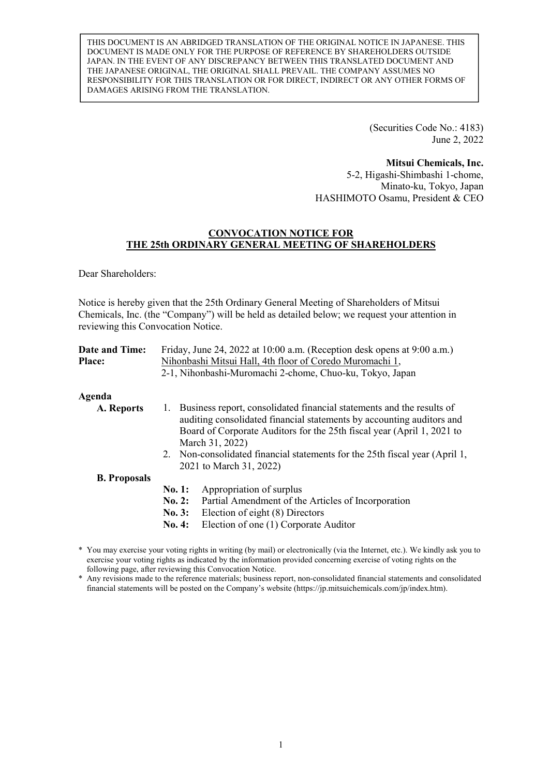THIS DOCUMENT IS AN ABRIDGED TRANSLATION OF THE ORIGINAL NOTICE IN JAPANESE. THIS DOCUMENT IS MADE ONLY FOR THE PURPOSE OF REFERENCE BY SHAREHOLDERS OUTSIDE JAPAN. IN THE EVENT OF ANY DISCREPANCY BETWEEN THIS TRANSLATED DOCUMENT AND THE JAPANESE ORIGINAL, THE ORIGINAL SHALL PREVAIL. THE COMPANY ASSUMES NO RESPONSIBILITY FOR THIS TRANSLATION OR FOR DIRECT, INDIRECT OR ANY OTHER FORMS OF DAMAGES ARISING FROM THE TRANSLATION.

> (Securities Code No.: 4183) June 2, 2022

**Mitsui Chemicals, Inc.**  5-2, Higashi-Shimbashi 1-chome, Minato-ku, Tokyo, Japan HASHIMOTO Osamu, President & CEO

### **CONVOCATION NOTICE FOR THE 25th ORDINARY GENERAL MEETING OF SHAREHOLDERS**

Dear Shareholders:

Notice is hereby given that the 25th Ordinary General Meeting of Shareholders of Mitsui Chemicals, Inc. (the "Company") will be held as detailed below; we request your attention in reviewing this Convocation Notice.

| Date and Time:      |        | Friday, June 24, 2022 at 10:00 a.m. (Reception desk opens at 9:00 a.m.)                                                                                                                                                                                                                                                                                  |
|---------------------|--------|----------------------------------------------------------------------------------------------------------------------------------------------------------------------------------------------------------------------------------------------------------------------------------------------------------------------------------------------------------|
| <b>Place:</b>       |        | Nihonbashi Mitsui Hall, 4th floor of Coredo Muromachi 1,                                                                                                                                                                                                                                                                                                 |
|                     |        | 2-1, Nihonbashi-Muromachi 2-chome, Chuo-ku, Tokyo, Japan                                                                                                                                                                                                                                                                                                 |
| Agenda              |        |                                                                                                                                                                                                                                                                                                                                                          |
| A. Reports          |        | 1. Business report, consolidated financial statements and the results of<br>auditing consolidated financial statements by accounting auditors and<br>Board of Corporate Auditors for the 25th fiscal year (April 1, 2021 to<br>March 31, 2022)<br>2. Non-consolidated financial statements for the 25th fiscal year (April 1,<br>2021 to March 31, 2022) |
| <b>B.</b> Proposals |        |                                                                                                                                                                                                                                                                                                                                                          |
|                     | No. 1: | Appropriation of surplus                                                                                                                                                                                                                                                                                                                                 |
|                     | No. 2: | Partial Amendment of the Articles of Incorporation                                                                                                                                                                                                                                                                                                       |
|                     | No. 3: | Election of eight (8) Directors                                                                                                                                                                                                                                                                                                                          |
|                     | No. 4: | Election of one (1) Corporate Auditor                                                                                                                                                                                                                                                                                                                    |

\* You may exercise your voting rights in writing (by mail) or electronically (via the Internet, etc.). We kindly ask you to exercise your voting rights as indicated by the information provided concerning exercise of voting rights on the following page, after reviewing this Convocation Notice.

\* Any revisions made to the reference materials; business report, non-consolidated financial statements and consolidated financial statements will be posted on the Company's website (https://jp.mitsuichemicals.com/jp/index.htm).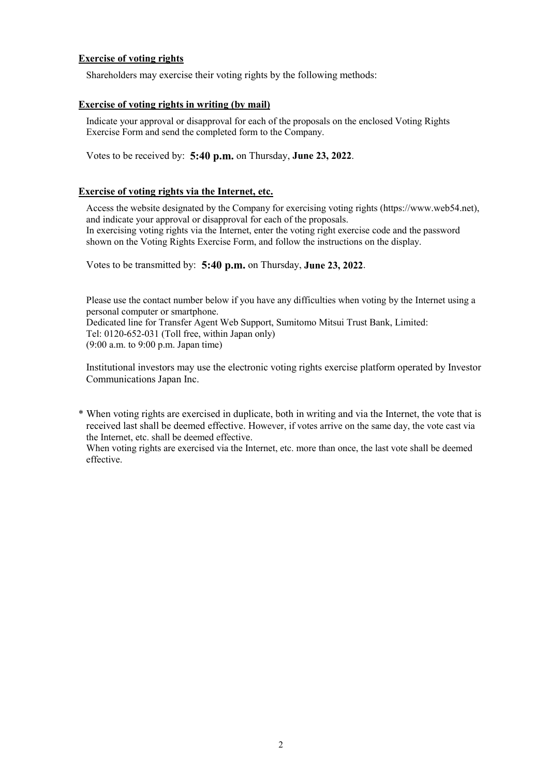### **Exercise of voting rights**

Shareholders may exercise their voting rights by the following methods:

#### **Exercise of voting rights in writing (by mail)**

Indicate your approval or disapproval for each of the proposals on the enclosed Voting Rights Exercise Form and send the completed form to the Company.

Votes to be received by: **5:40 p.m.** on Thursday, **June 23, 2022**.

### **Exercise of voting rights via the Internet, etc.**

Access the website designated by the Company for exercising voting rights (https://www.web54.net), and indicate your approval or disapproval for each of the proposals. In exercising voting rights via the Internet, enter the voting right exercise code and the password shown on the Voting Rights Exercise Form, and follow the instructions on the display.

Votes to be transmitted by: **5:40 p.m.** on Thursday, **June 23, 2022**.

Please use the contact number below if you have any difficulties when voting by the Internet using a personal computer or smartphone. Dedicated line for Transfer Agent Web Support, Sumitomo Mitsui Trust Bank, Limited: Tel: 0120-652-031 (Toll free, within Japan only) (9:00 a.m. to 9:00 p.m. Japan time)

Institutional investors may use the electronic voting rights exercise platform operated by Investor Communications Japan Inc.

\* When voting rights are exercised in duplicate, both in writing and via the Internet, the vote that is received last shall be deemed effective. However, if votes arrive on the same day, the vote cast via the Internet, etc. shall be deemed effective.

When voting rights are exercised via the Internet, etc. more than once, the last vote shall be deemed effective.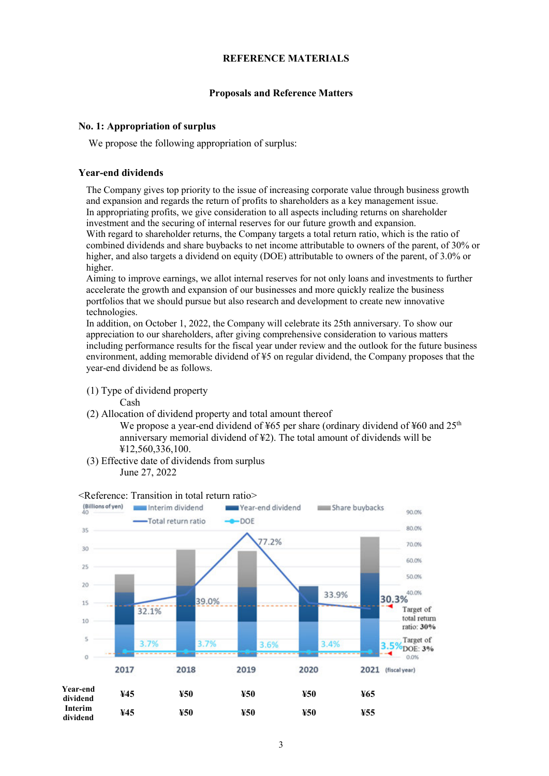#### **REFERENCE MATERIALS**

#### **Proposals and Reference Matters**

#### **No. 1: Appropriation of surplus**

We propose the following appropriation of surplus:

#### **Year-end dividends**

The Company gives top priority to the issue of increasing corporate value through business growth and expansion and regards the return of profits to shareholders as a key management issue. In appropriating profits, we give consideration to all aspects including returns on shareholder investment and the securing of internal reserves for our future growth and expansion. With regard to shareholder returns, the Company targets a total return ratio, which is the ratio of combined dividends and share buybacks to net income attributable to owners of the parent, of 30% or higher, and also targets a dividend on equity (DOE) attributable to owners of the parent, of 3.0% or higher.

Aiming to improve earnings, we allot internal reserves for not only loans and investments to further accelerate the growth and expansion of our businesses and more quickly realize the business portfolios that we should pursue but also research and development to create new innovative technologies.

In addition, on October 1, 2022, the Company will celebrate its 25th anniversary. To show our appreciation to our shareholders, after giving comprehensive consideration to various matters including performance results for the fiscal year under review and the outlook for the future business environment, adding memorable dividend of ¥5 on regular dividend, the Company proposes that the year-end dividend be as follows.

(1) Type of dividend property

Cash

(2) Allocation of dividend property and total amount thereof

We propose a year-end dividend of ¥65 per share (ordinary dividend of ¥60 and  $25<sup>th</sup>$ anniversary memorial dividend of ¥2). The total amount of dividends will be ¥12,560,336,100.

(3) Effective date of dividends from surplus June 27, 2022



#### <Reference: Transition in total return ratio>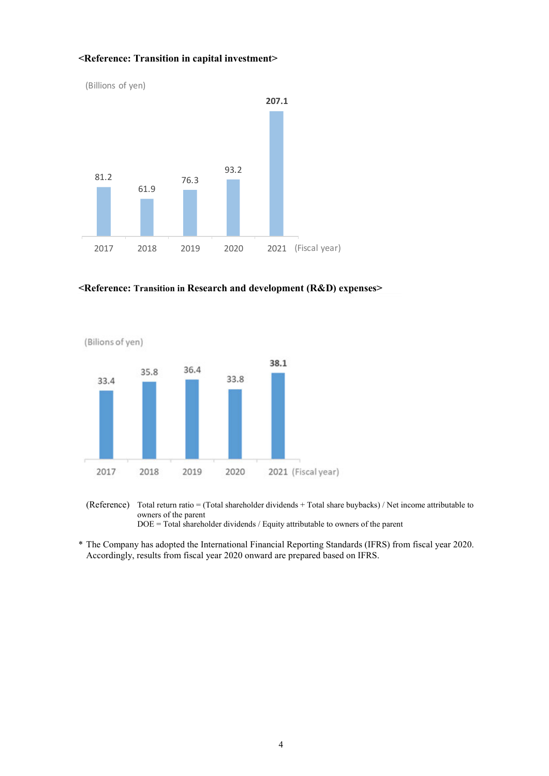#### **<Reference: Transition in capital investment>**



#### **<Reference: Transition in Research and development (R&D) expenses>**





\* The Company has adopted the International Financial Reporting Standards (IFRS) from fiscal year 2020. Accordingly, results from fiscal year 2020 onward are prepared based on IFRS.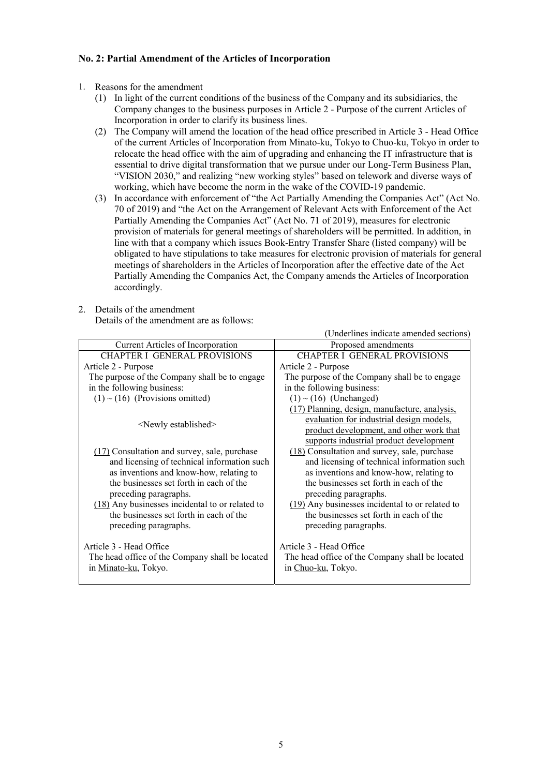#### **No. 2: Partial Amendment of the Articles of Incorporation**

- 1. Reasons for the amendment
	- (1) In light of the current conditions of the business of the Company and its subsidiaries, the Company changes to the business purposes in Article 2 - Purpose of the current Articles of Incorporation in order to clarify its business lines.
	- (2) The Company will amend the location of the head office prescribed in Article 3 Head Office of the current Articles of Incorporation from Minato-ku, Tokyo to Chuo-ku, Tokyo in order to relocate the head office with the aim of upgrading and enhancing the IT infrastructure that is essential to drive digital transformation that we pursue under our Long-Term Business Plan, "VISION 2030," and realizing "new working styles" based on telework and diverse ways of working, which have become the norm in the wake of the COVID-19 pandemic.
	- (3) In accordance with enforcement of "the Act Partially Amending the Companies Act" (Act No. 70 of 2019) and "the Act on the Arrangement of Relevant Acts with Enforcement of the Act Partially Amending the Companies Act" (Act No. 71 of 2019), measures for electronic provision of materials for general meetings of shareholders will be permitted. In addition, in line with that a company which issues Book-Entry Transfer Share (listed company) will be obligated to have stipulations to take measures for electronic provision of materials for general meetings of shareholders in the Articles of Incorporation after the effective date of the Act Partially Amending the Companies Act, the Company amends the Articles of Incorporation accordingly.
- 2. Details of the amendment

Details of the amendment are as follows:

|                                                   | (Underlines indicate amended sections)          |
|---------------------------------------------------|-------------------------------------------------|
| Current Articles of Incorporation                 | Proposed amendments                             |
| <b>CHAPTER I GENERAL PROVISIONS</b>               | <b>CHAPTER I GENERAL PROVISIONS</b>             |
| Article 2 - Purpose                               | Article 2 - Purpose                             |
| The purpose of the Company shall be to engage     | The purpose of the Company shall be to engage   |
| in the following business:                        | in the following business:                      |
| $(1)$ ~ $(16)$ (Provisions omitted)               | $(1)$ ~ $(16)$ (Unchanged)                      |
|                                                   | (17) Planning, design, manufacture, analysis,   |
| <newly established=""></newly>                    | evaluation for industrial design models,        |
|                                                   | product development, and other work that        |
|                                                   | supports industrial product development         |
| (17) Consultation and survey, sale, purchase      | (18) Consultation and survey, sale, purchase    |
| and licensing of technical information such       | and licensing of technical information such     |
| as inventions and know-how, relating to           | as inventions and know-how, relating to         |
| the businesses set forth in each of the           | the businesses set forth in each of the         |
| preceding paragraphs.                             | preceding paragraphs.                           |
| $(18)$ Any businesses incidental to or related to | (19) Any businesses incidental to or related to |
| the businesses set forth in each of the           | the businesses set forth in each of the         |
| preceding paragraphs.                             | preceding paragraphs.                           |
|                                                   |                                                 |
| Article 3 - Head Office                           | Article 3 - Head Office                         |
| The head office of the Company shall be located   | The head office of the Company shall be located |
| in Minato-ku, Tokyo.                              | in Chuo-ku, Tokyo.                              |
|                                                   |                                                 |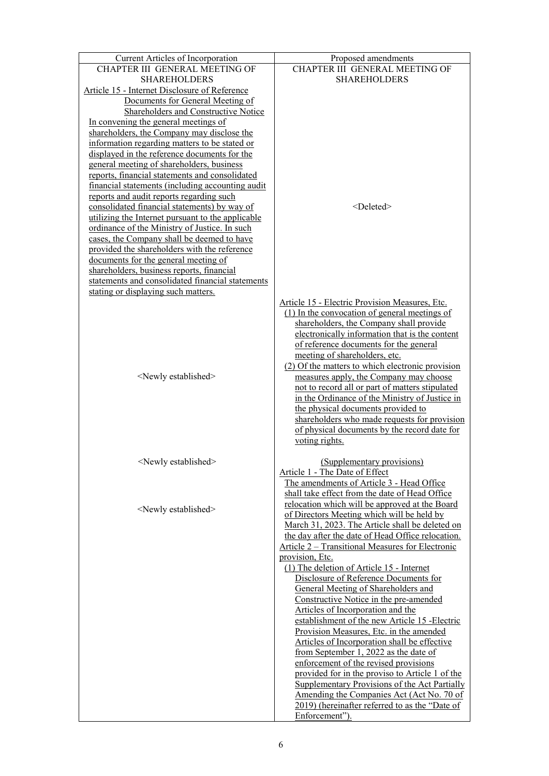| Current Articles of Incorporation                 | Proposed amendments                               |
|---------------------------------------------------|---------------------------------------------------|
| CHAPTER III GENERAL MEETING OF                    | CHAPTER III GENERAL MEETING OF                    |
| <b>SHAREHOLDERS</b>                               | <b>SHAREHOLDERS</b>                               |
| Article 15 - Internet Disclosure of Reference     |                                                   |
| Documents for General Meeting of                  |                                                   |
| Shareholders and Constructive Notice              |                                                   |
|                                                   |                                                   |
| In convening the general meetings of              |                                                   |
| shareholders, the Company may disclose the        |                                                   |
| information regarding matters to be stated or     |                                                   |
| displayed in the reference documents for the      |                                                   |
| general meeting of shareholders, business         |                                                   |
| reports, financial statements and consolidated    |                                                   |
| financial statements (including accounting audit  |                                                   |
| reports and audit reports regarding such          |                                                   |
| consolidated financial statements) by way of      | <deleted></deleted>                               |
| utilizing the Internet pursuant to the applicable |                                                   |
| ordinance of the Ministry of Justice. In such     |                                                   |
| cases, the Company shall be deemed to have        |                                                   |
| provided the shareholders with the reference      |                                                   |
| documents for the general meeting of              |                                                   |
| shareholders, business reports, financial         |                                                   |
| statements and consolidated financial statements  |                                                   |
| stating or displaying such matters.               |                                                   |
|                                                   | Article 15 - Electric Provision Measures, Etc.    |
|                                                   | (1) In the convocation of general meetings of     |
|                                                   | shareholders, the Company shall provide           |
|                                                   | electronically information that is the content    |
|                                                   |                                                   |
|                                                   | of reference documents for the general            |
|                                                   | meeting of shareholders, etc.                     |
|                                                   | (2) Of the matters to which electronic provision  |
| <newly established=""></newly>                    | measures apply, the Company may choose            |
|                                                   | not to record all or part of matters stipulated   |
|                                                   | in the Ordinance of the Ministry of Justice in    |
|                                                   | the physical documents provided to                |
|                                                   | shareholders who made requests for provision      |
|                                                   | of physical documents by the record date for      |
|                                                   | voting rights.                                    |
|                                                   |                                                   |
| <newly established=""></newly>                    | (Supplementary provisions)                        |
|                                                   | Article 1 - The Date of Effect                    |
|                                                   | The amendments of Article 3 - Head Office         |
|                                                   | shall take effect from the date of Head Office    |
|                                                   | relocation which will be approved at the Board    |
| <newly established=""></newly>                    | of Directors Meeting which will be held by        |
|                                                   | March 31, 2023. The Article shall be deleted on   |
|                                                   | the day after the date of Head Office relocation. |
|                                                   | Article 2 – Transitional Measures for Electronic  |
|                                                   | provision, Etc.                                   |
|                                                   | (1) The deletion of Article 15 - Internet         |
|                                                   | Disclosure of Reference Documents for             |
|                                                   | General Meeting of Shareholders and               |
|                                                   | Constructive Notice in the pre-amended            |
|                                                   | Articles of Incorporation and the                 |
|                                                   |                                                   |
|                                                   | establishment of the new Article 15 - Electric    |
|                                                   | Provision Measures, Etc. in the amended           |
|                                                   | Articles of Incorporation shall be effective      |
|                                                   | from September 1, 2022 as the date of             |
|                                                   | enforcement of the revised provisions             |
|                                                   | provided for in the proviso to Article 1 of the   |
|                                                   | Supplementary Provisions of the Act Partially     |
|                                                   | Amending the Companies Act (Act No. 70 of         |
|                                                   | 2019) (hereinafter referred to as the "Date of    |
|                                                   | Enforcement").                                    |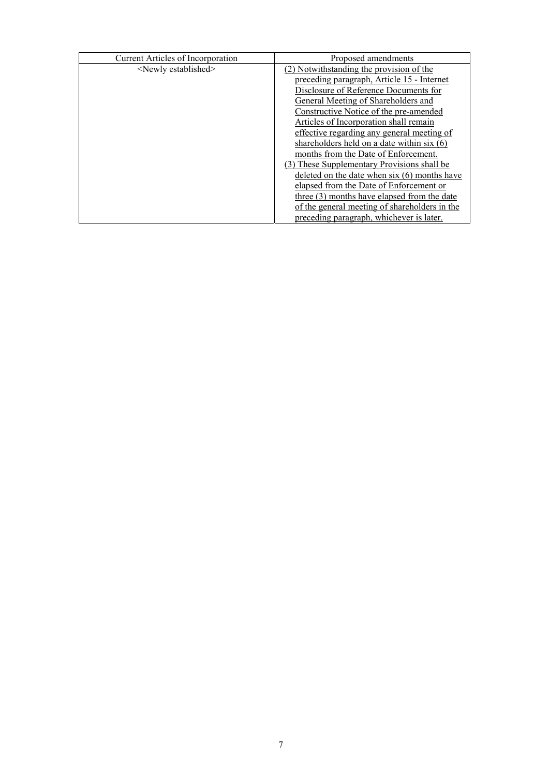| <b>Current Articles of Incorporation</b> | Proposed amendments                             |
|------------------------------------------|-------------------------------------------------|
| <newly established=""></newly>           | (2) Notwithstanding the provision of the        |
|                                          | preceding paragraph, Article 15 - Internet      |
|                                          | Disclosure of Reference Documents for           |
|                                          | General Meeting of Shareholders and             |
|                                          | Constructive Notice of the pre-amended          |
|                                          | Articles of Incorporation shall remain          |
|                                          | effective regarding any general meeting of      |
|                                          | shareholders held on a date within $s$ ix $(6)$ |
|                                          | months from the Date of Enforcement.            |
|                                          | (3) These Supplementary Provisions shall be     |
|                                          | deleted on the date when $six(6)$ months have   |
|                                          | elapsed from the Date of Enforcement or         |
|                                          | three (3) months have elapsed from the date     |
|                                          | of the general meeting of shareholders in the   |
|                                          | preceding paragraph, whichever is later.        |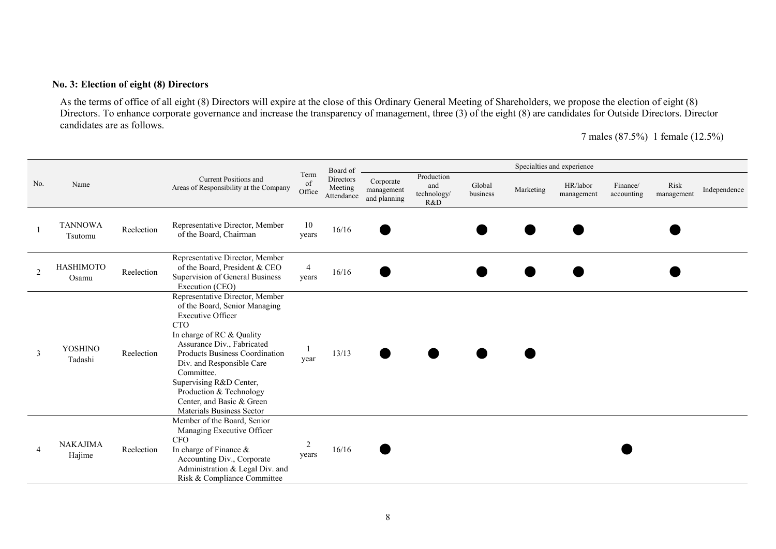### **No. 3: Election of eight (8) Directors**

As the terms of office of all eight (8) Directors will expire at the close of this Ordinary General Meeting of Shareholders, we propose the election of eight (8) Directors. To enhance corporate governance and increase the transparency of management, three (3) of the eight (8) are candidates for Outside Directors. Director candidates are as follows.

7 males (87.5%) 1 female (12.5%)

|             |                           |            |                                                                                                                                                                                                                                                                                                                                                                    |                         | Board of                           |                                         |                                         |                    |           | Specialties and experience |                        |                    |              |
|-------------|---------------------------|------------|--------------------------------------------------------------------------------------------------------------------------------------------------------------------------------------------------------------------------------------------------------------------------------------------------------------------------------------------------------------------|-------------------------|------------------------------------|-----------------------------------------|-----------------------------------------|--------------------|-----------|----------------------------|------------------------|--------------------|--------------|
| No.<br>Name |                           |            | <b>Current Positions and</b><br>Areas of Responsibility at the Company                                                                                                                                                                                                                                                                                             | Term<br>of<br>Office    | Directors<br>Meeting<br>Attendance | Corporate<br>management<br>and planning | Production<br>and<br>technology/<br>R&D | Global<br>business | Marketing | HR/labor<br>management     | Finance/<br>accounting | Risk<br>management | Independence |
|             | <b>TANNOWA</b><br>Tsutomu | Reelection | Representative Director, Member<br>of the Board, Chairman                                                                                                                                                                                                                                                                                                          | 10<br>years             | 16/16                              |                                         |                                         |                    |           |                            |                        |                    |              |
|             | <b>HASHIMOTO</b><br>Osamu | Reelection | Representative Director, Member<br>of the Board, President & CEO<br>Supervision of General Business<br>Execution (CEO)                                                                                                                                                                                                                                             | $\overline{4}$<br>years | 16/16                              |                                         |                                         |                    |           |                            |                        |                    |              |
| 3           | YOSHINO<br>Tadashi        | Reelection | Representative Director, Member<br>of the Board, Senior Managing<br><b>Executive Officer</b><br><b>CTO</b><br>In charge of RC & Quality<br>Assurance Div., Fabricated<br>Products Business Coordination<br>Div. and Responsible Care<br>Committee.<br>Supervising R&D Center,<br>Production & Technology<br>Center, and Basic & Green<br>Materials Business Sector | year                    | 13/13                              |                                         |                                         |                    |           |                            |                        |                    |              |
| 4           | <b>NAKAJIMA</b><br>Hajime | Reelection | Member of the Board, Senior<br>Managing Executive Officer<br><b>CFO</b><br>In charge of Finance &<br>Accounting Div., Corporate<br>Administration & Legal Div. and<br>Risk & Compliance Committee                                                                                                                                                                  | 2<br>years              | 16/16                              |                                         |                                         |                    |           |                            |                        |                    |              |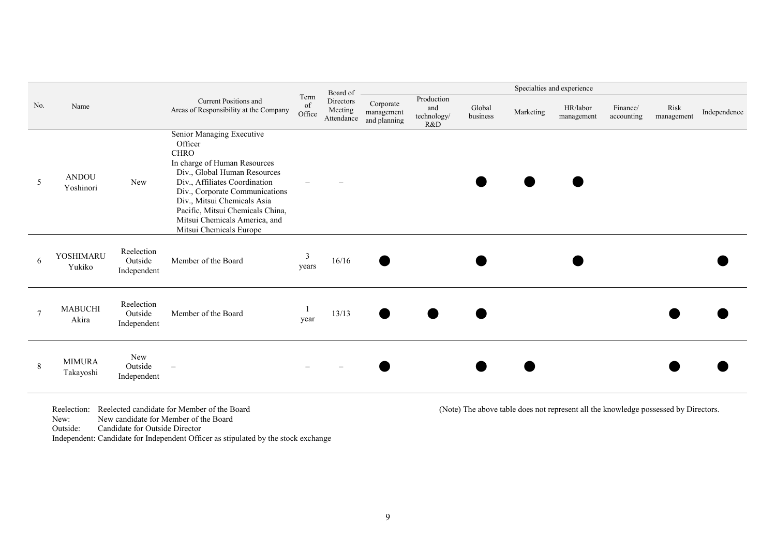|             |                            |                                      |                                                                                                                                                                                                                                                                                                                       |                      | Board of                           |                                         |                                         |                    |           | Specialties and experience |                        |                    |              |
|-------------|----------------------------|--------------------------------------|-----------------------------------------------------------------------------------------------------------------------------------------------------------------------------------------------------------------------------------------------------------------------------------------------------------------------|----------------------|------------------------------------|-----------------------------------------|-----------------------------------------|--------------------|-----------|----------------------------|------------------------|--------------------|--------------|
| No.<br>Name |                            |                                      | <b>Current Positions and</b><br>Areas of Responsibility at the Company                                                                                                                                                                                                                                                | Term<br>of<br>Office | Directors<br>Meeting<br>Attendance | Corporate<br>management<br>and planning | Production<br>and<br>technology/<br>R&D | Global<br>business | Marketing | HR/labor<br>management     | Finance/<br>accounting | Risk<br>management | Independence |
| 5           | <b>ANDOU</b><br>Yoshinori  | <b>New</b>                           | Senior Managing Executive<br>Officer<br><b>CHRO</b><br>In charge of Human Resources<br>Div., Global Human Resources<br>Div., Affiliates Coordination<br>Div., Corporate Communications<br>Div., Mitsui Chemicals Asia<br>Pacific, Mitsui Chemicals China,<br>Mitsui Chemicals America, and<br>Mitsui Chemicals Europe |                      |                                    |                                         |                                         |                    |           |                            |                        |                    |              |
| 6           | YOSHIMARU<br>Yukiko        | Reelection<br>Outside<br>Independent | Member of the Board                                                                                                                                                                                                                                                                                                   | 3<br>years           | 16/16                              |                                         |                                         |                    |           |                            |                        |                    |              |
| $\tau$      | <b>MABUCHI</b><br>Akira    | Reelection<br>Outside<br>Independent | Member of the Board                                                                                                                                                                                                                                                                                                   | year                 | 13/13                              |                                         |                                         |                    |           |                            |                        |                    |              |
| 8           | <b>MIMURA</b><br>Takayoshi | <b>New</b><br>Outside<br>Independent | $\overline{\phantom{m}}$                                                                                                                                                                                                                                                                                              |                      |                                    |                                         |                                         |                    |           |                            |                        |                    |              |

New: New candidate for Member of the Board

Outside: Candidate for Outside Director

Independent: Candidate for Independent Officer as stipulated by the stock exchange

Reelection: Reelected candidate for Member of the Board (Note) The above table does not represent all the knowledge possessed by Directors.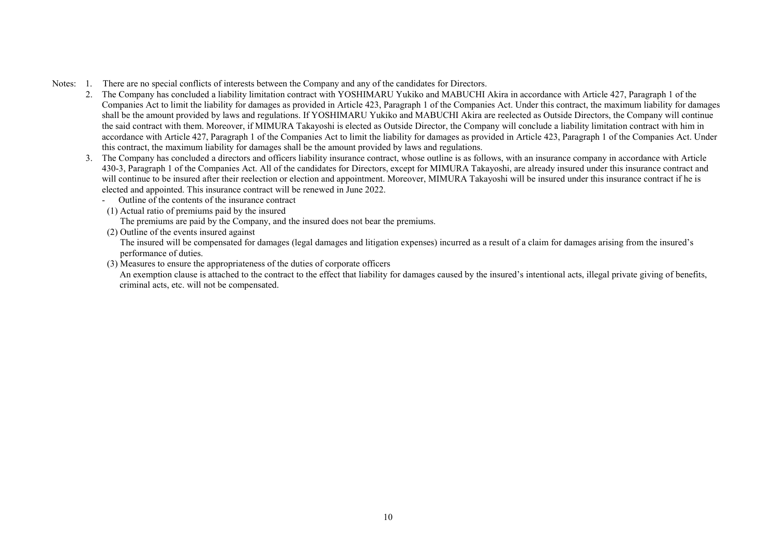- Notes: 1. There are no special conflicts of interests between the Company and any of the candidates for Directors.
	- 2. The Company has concluded a liability limitation contract with YOSHIMARU Yukiko and MABUCHI Akira in accordance with Article 427, Paragraph 1 of the Companies Act to limit the liability for damages as provided in Article 423, Paragraph 1 of the Companies Act. Under this contract, the maximum liability for damages shall be the amount provided by laws and regulations. If YOSHIMARU Yukiko and MABUCHI Akira are reelected as Outside Directors, the Company will continue the said contract with them. Moreover, if MIMURA Takayoshi is elected as Outside Director, the Company will conclude a liability limitation contract with him in accordance with Article 427, Paragraph 1 of the Companies Act to limit the liability for damages as provided in Article 423, Paragraph 1 of the Companies Act. Under this contract, the maximum liability for damages shall be the amount provided by laws and regulations.
	- 3. The Company has concluded a directors and officers liability insurance contract, whose outline is as follows, with an insurance company in accordance with Article 430-3, Paragraph 1 of the Companies Act. All of the candidates for Directors, except for MIMURA Takayoshi, are already insured under this insurance contract and will continue to be insured after their reelection or election and appointment. Moreover, MIMURA Takayoshi will be insured under this insurance contract if he is elected and appointed. This insurance contract will be renewed in June 2022.
		- Outline of the contents of the insurance contract
		- (1) Actual ratio of premiums paid by the insured

The premiums are paid by the Company, and the insured does not bear the premiums.

(2) Outline of the events insured against

The insured will be compensated for damages (legal damages and litigation expenses) incurred as a result of a claim for damages arising from the insured's performance of duties.

(3) Measures to ensure the appropriateness of the duties of corporate officers

An exemption clause is attached to the contract to the effect that liability for damages caused by the insured's intentional acts, illegal private giving of benefits, criminal acts, etc. will not be compensated.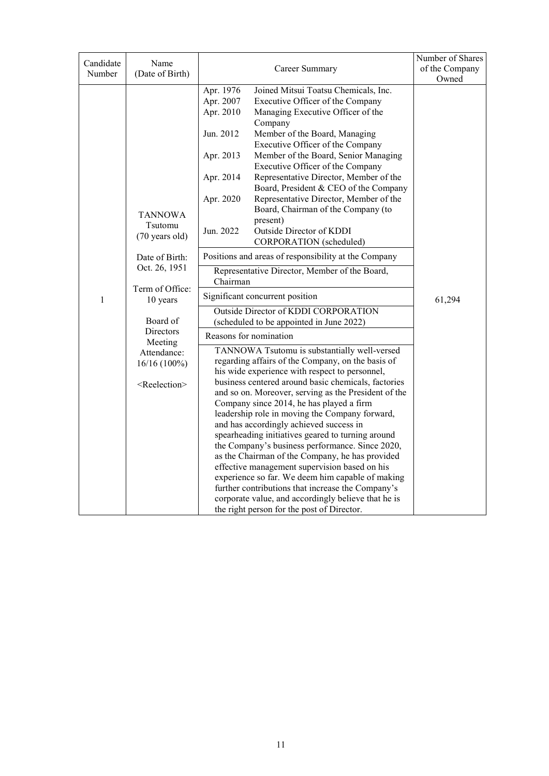|                          |                                                                                                                                                                                                                                                      |                                                                                                                                                                                                                                                                                                                                                                                                                                                                                                                                                                                                                                                                                                                                                                                                                                                                                                                                                                                                                                                                                                                                                                                                                                                                                                                                | Owned                                        |
|--------------------------|------------------------------------------------------------------------------------------------------------------------------------------------------------------------------------------------------------------------------------------------------|--------------------------------------------------------------------------------------------------------------------------------------------------------------------------------------------------------------------------------------------------------------------------------------------------------------------------------------------------------------------------------------------------------------------------------------------------------------------------------------------------------------------------------------------------------------------------------------------------------------------------------------------------------------------------------------------------------------------------------------------------------------------------------------------------------------------------------------------------------------------------------------------------------------------------------------------------------------------------------------------------------------------------------------------------------------------------------------------------------------------------------------------------------------------------------------------------------------------------------------------------------------------------------------------------------------------------------|----------------------------------------------|
| Candidate<br>Number<br>1 | Name<br>(Date of Birth)<br><b>TANNOWA</b><br>Tsutomu<br>$(70 \text{ years old})$<br>Date of Birth:<br>Oct. 26, 1951<br>Term of Office:<br>10 years<br>Board of<br>Directors<br>Meeting<br>Attendance:<br>$16/16(100\%)$<br><reelection></reelection> | Career Summary<br>Apr. 1976<br>Joined Mitsui Toatsu Chemicals, Inc.<br>Apr. 2007<br>Executive Officer of the Company<br>Apr. 2010<br>Managing Executive Officer of the<br>Company<br>Member of the Board, Managing<br>Jun. 2012<br>Executive Officer of the Company<br>Apr. 2013<br>Member of the Board, Senior Managing<br>Executive Officer of the Company<br>Representative Director, Member of the<br>Apr. 2014<br>Board, President & CEO of the Company<br>Representative Director, Member of the<br>Apr. 2020<br>Board, Chairman of the Company (to<br>present)<br>Outside Director of KDDI<br>Jun. 2022<br>CORPORATION (scheduled)<br>Positions and areas of responsibility at the Company<br>Representative Director, Member of the Board,<br>Chairman<br>Significant concurrent position<br>Outside Director of KDDI CORPORATION<br>(scheduled to be appointed in June 2022)<br>Reasons for nomination<br>TANNOWA Tsutomu is substantially well-versed<br>regarding affairs of the Company, on the basis of<br>his wide experience with respect to personnel,<br>business centered around basic chemicals, factories<br>and so on. Moreover, serving as the President of the<br>Company since 2014, he has played a firm<br>leadership role in moving the Company forward,<br>and has accordingly achieved success in | Number of Shares<br>of the Company<br>61,294 |
|                          |                                                                                                                                                                                                                                                      |                                                                                                                                                                                                                                                                                                                                                                                                                                                                                                                                                                                                                                                                                                                                                                                                                                                                                                                                                                                                                                                                                                                                                                                                                                                                                                                                |                                              |
|                          |                                                                                                                                                                                                                                                      | spearheading initiatives geared to turning around<br>the Company's business performance. Since 2020,                                                                                                                                                                                                                                                                                                                                                                                                                                                                                                                                                                                                                                                                                                                                                                                                                                                                                                                                                                                                                                                                                                                                                                                                                           |                                              |
|                          |                                                                                                                                                                                                                                                      | as the Chairman of the Company, he has provided<br>effective management supervision based on his<br>experience so far. We deem him capable of making<br>further contributions that increase the Company's<br>corporate value, and accordingly believe that he is<br>the right person for the post of Director.                                                                                                                                                                                                                                                                                                                                                                                                                                                                                                                                                                                                                                                                                                                                                                                                                                                                                                                                                                                                                 |                                              |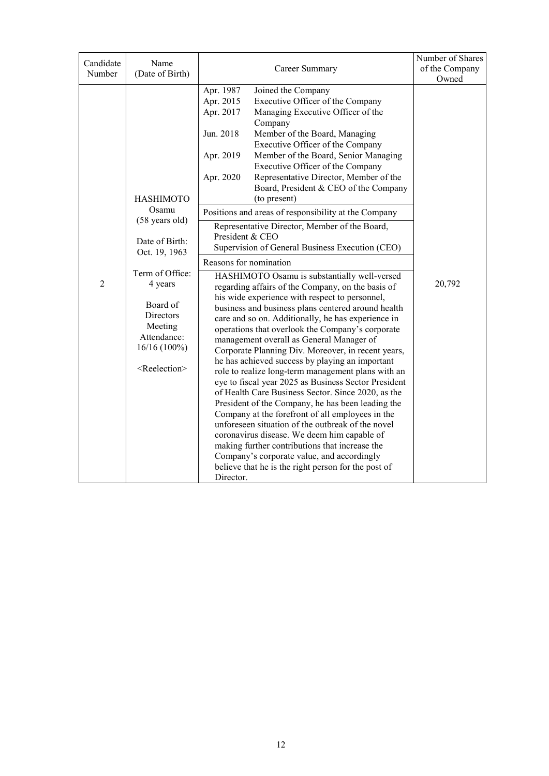| Candidate | Name                                                                                                      |                                                                                                                                                                                                                                                                                                                                                                                                                                                                                                                                                                                                                                                                                                                                                                                                                                                                                                                                                                                                                               | Number of Shares        |
|-----------|-----------------------------------------------------------------------------------------------------------|-------------------------------------------------------------------------------------------------------------------------------------------------------------------------------------------------------------------------------------------------------------------------------------------------------------------------------------------------------------------------------------------------------------------------------------------------------------------------------------------------------------------------------------------------------------------------------------------------------------------------------------------------------------------------------------------------------------------------------------------------------------------------------------------------------------------------------------------------------------------------------------------------------------------------------------------------------------------------------------------------------------------------------|-------------------------|
| Number    | (Date of Birth)                                                                                           | Career Summary                                                                                                                                                                                                                                                                                                                                                                                                                                                                                                                                                                                                                                                                                                                                                                                                                                                                                                                                                                                                                | of the Company<br>Owned |
|           | <b>HASHIMOTO</b>                                                                                          | Apr. 1987<br>Joined the Company<br>Apr. 2015<br>Executive Officer of the Company<br>Apr. 2017<br>Managing Executive Officer of the<br>Company<br>Jun. 2018<br>Member of the Board, Managing<br>Executive Officer of the Company<br>Apr. 2019<br>Member of the Board, Senior Managing<br>Executive Officer of the Company<br>Representative Director, Member of the<br>Apr. 2020<br>Board, President & CEO of the Company<br>(to present)                                                                                                                                                                                                                                                                                                                                                                                                                                                                                                                                                                                      |                         |
|           | Osamu<br>(58 years old)<br>Date of Birth:                                                                 | Positions and areas of responsibility at the Company<br>Representative Director, Member of the Board,<br>President & CEO                                                                                                                                                                                                                                                                                                                                                                                                                                                                                                                                                                                                                                                                                                                                                                                                                                                                                                      |                         |
|           | Oct. 19, 1963                                                                                             | Supervision of General Business Execution (CEO)                                                                                                                                                                                                                                                                                                                                                                                                                                                                                                                                                                                                                                                                                                                                                                                                                                                                                                                                                                               |                         |
|           | Term of Office:                                                                                           | Reasons for nomination                                                                                                                                                                                                                                                                                                                                                                                                                                                                                                                                                                                                                                                                                                                                                                                                                                                                                                                                                                                                        |                         |
| 2         | 4 years<br>Board of<br>Directors<br>Meeting<br>Attendance:<br>$16/16(100\%)$<br><reelection></reelection> | HASHIMOTO Osamu is substantially well-versed<br>regarding affairs of the Company, on the basis of<br>his wide experience with respect to personnel,<br>business and business plans centered around health<br>care and so on. Additionally, he has experience in<br>operations that overlook the Company's corporate<br>management overall as General Manager of<br>Corporate Planning Div. Moreover, in recent years,<br>he has achieved success by playing an important<br>role to realize long-term management plans with an<br>eye to fiscal year 2025 as Business Sector President<br>of Health Care Business Sector. Since 2020, as the<br>President of the Company, he has been leading the<br>Company at the forefront of all employees in the<br>unforeseen situation of the outbreak of the novel<br>coronavirus disease. We deem him capable of<br>making further contributions that increase the<br>Company's corporate value, and accordingly<br>believe that he is the right person for the post of<br>Director. | 20,792                  |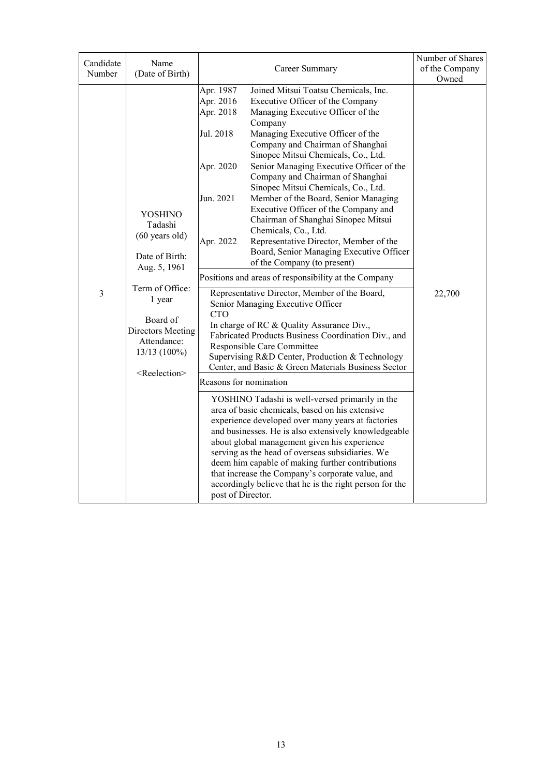| Candidate<br>Number | Name<br>(Date of Birth)                                                                                                                                                                                             |                                                                                                                                                      | Career Summary                                                                                                                                                                                                                                                                                                                                                                                                                                                                                                                                                                                                                                                                                                                                                                                                                                                                                                                                                                                                                                                                                                                                                                                                                                                                                                                                                                                                                                                                                                          | Number of Shares<br>of the Company<br>Owned |
|---------------------|---------------------------------------------------------------------------------------------------------------------------------------------------------------------------------------------------------------------|------------------------------------------------------------------------------------------------------------------------------------------------------|-------------------------------------------------------------------------------------------------------------------------------------------------------------------------------------------------------------------------------------------------------------------------------------------------------------------------------------------------------------------------------------------------------------------------------------------------------------------------------------------------------------------------------------------------------------------------------------------------------------------------------------------------------------------------------------------------------------------------------------------------------------------------------------------------------------------------------------------------------------------------------------------------------------------------------------------------------------------------------------------------------------------------------------------------------------------------------------------------------------------------------------------------------------------------------------------------------------------------------------------------------------------------------------------------------------------------------------------------------------------------------------------------------------------------------------------------------------------------------------------------------------------------|---------------------------------------------|
| 3                   | <b>YOSHINO</b><br>Tadashi<br>$(60 \text{ years old})$<br>Date of Birth:<br>Aug. 5, 1961<br>Term of Office:<br>1 year<br>Board of<br>Directors Meeting<br>Attendance:<br>$13/13(100\%)$<br><reelection></reelection> | Apr. 1987<br>Apr. 2016<br>Apr. 2018<br>Jul. 2018<br>Apr. 2020<br>Jun. 2021<br>Apr. 2022<br><b>CTO</b><br>Reasons for nomination<br>post of Director. | Joined Mitsui Toatsu Chemicals, Inc.<br>Executive Officer of the Company<br>Managing Executive Officer of the<br>Company<br>Managing Executive Officer of the<br>Company and Chairman of Shanghai<br>Sinopec Mitsui Chemicals, Co., Ltd.<br>Senior Managing Executive Officer of the<br>Company and Chairman of Shanghai<br>Sinopec Mitsui Chemicals, Co., Ltd.<br>Member of the Board, Senior Managing<br>Executive Officer of the Company and<br>Chairman of Shanghai Sinopec Mitsui<br>Chemicals, Co., Ltd.<br>Representative Director, Member of the<br>Board, Senior Managing Executive Officer<br>of the Company (to present)<br>Positions and areas of responsibility at the Company<br>Representative Director, Member of the Board,<br>Senior Managing Executive Officer<br>In charge of RC & Quality Assurance Div.,<br>Fabricated Products Business Coordination Div., and<br>Responsible Care Committee<br>Supervising R&D Center, Production & Technology<br>Center, and Basic & Green Materials Business Sector<br>YOSHINO Tadashi is well-versed primarily in the<br>area of basic chemicals, based on his extensive<br>experience developed over many years at factories<br>and businesses. He is also extensively knowledgeable<br>about global management given his experience<br>serving as the head of overseas subsidiaries. We<br>deem him capable of making further contributions<br>that increase the Company's corporate value, and<br>accordingly believe that he is the right person for the | 22,700                                      |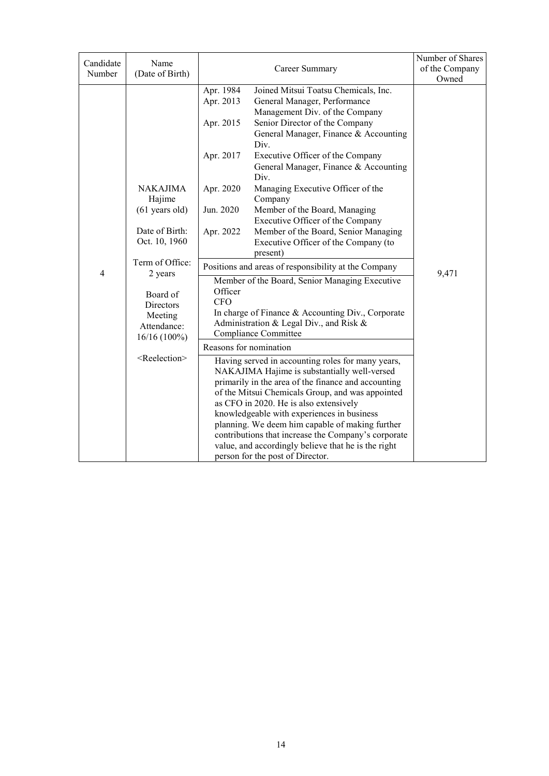| (Date of Birth)<br>Number<br>Owned<br>Apr. 1984<br>Joined Mitsui Toatsu Chemicals, Inc.<br>Apr. 2013<br>General Manager, Performance<br>Management Div. of the Company<br>Apr. 2015<br>Senior Director of the Company<br>General Manager, Finance & Accounting<br>Div.<br>Apr. 2017<br>Executive Officer of the Company<br>General Manager, Finance & Accounting<br>Div.<br><b>NAKAJIMA</b><br>Apr. 2020<br>Managing Executive Officer of the<br>Hajime<br>Company<br>$(61$ years old)<br>Member of the Board, Managing<br>Jun. 2020<br>Executive Officer of the Company<br>Date of Birth:<br>Member of the Board, Senior Managing<br>Apr. 2022<br>Oct. 10, 1960<br>Executive Officer of the Company (to<br>present)<br>Term of Office:<br>Positions and areas of responsibility at the Company<br>4<br>9,471<br>2 years<br>Member of the Board, Senior Managing Executive<br>Officer<br>Board of<br><b>CFO</b><br><b>Directors</b><br>In charge of Finance & Accounting Div., Corporate<br>Meeting<br>Administration & Legal Div., and Risk &<br>Attendance:<br>Compliance Committee<br>16/16 (100%)<br>Reasons for nomination |           |                                   |                | Number of Shares |
|---------------------------------------------------------------------------------------------------------------------------------------------------------------------------------------------------------------------------------------------------------------------------------------------------------------------------------------------------------------------------------------------------------------------------------------------------------------------------------------------------------------------------------------------------------------------------------------------------------------------------------------------------------------------------------------------------------------------------------------------------------------------------------------------------------------------------------------------------------------------------------------------------------------------------------------------------------------------------------------------------------------------------------------------------------------------------------------------------------------------------------|-----------|-----------------------------------|----------------|------------------|
|                                                                                                                                                                                                                                                                                                                                                                                                                                                                                                                                                                                                                                                                                                                                                                                                                                                                                                                                                                                                                                                                                                                                 |           |                                   |                |                  |
| Having served in accounting roles for many years,<br>NAKAJIMA Hajime is substantially well-versed<br>primarily in the area of the finance and accounting<br>of the Mitsui Chemicals Group, and was appointed<br>as CFO in 2020. He is also extensively<br>knowledgeable with experiences in business<br>planning. We deem him capable of making further                                                                                                                                                                                                                                                                                                                                                                                                                                                                                                                                                                                                                                                                                                                                                                         | Candidate | Name<br><reelection></reelection> | Career Summary | of the Company   |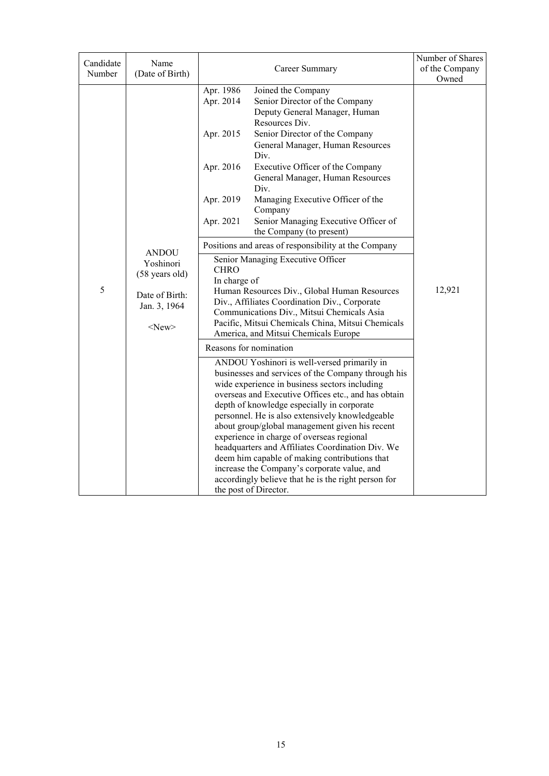| Candidate<br>Number | Name<br>(Date of Birth)                                                                      |                                                                                                           | Career Summary                                                                                                                                                                                                                                                                                                                                                                                                                                                                                                                                                                                                                                                                                                                                                                                                                                                                                                                                                                                                                                                                                                                                                                                                                                                                                                                                                                                                | Number of Shares<br>of the Company |
|---------------------|----------------------------------------------------------------------------------------------|-----------------------------------------------------------------------------------------------------------|---------------------------------------------------------------------------------------------------------------------------------------------------------------------------------------------------------------------------------------------------------------------------------------------------------------------------------------------------------------------------------------------------------------------------------------------------------------------------------------------------------------------------------------------------------------------------------------------------------------------------------------------------------------------------------------------------------------------------------------------------------------------------------------------------------------------------------------------------------------------------------------------------------------------------------------------------------------------------------------------------------------------------------------------------------------------------------------------------------------------------------------------------------------------------------------------------------------------------------------------------------------------------------------------------------------------------------------------------------------------------------------------------------------|------------------------------------|
| 5                   | <b>ANDOU</b><br>Yoshinori<br>(58 years old)<br>Date of Birth:<br>Jan. 3, 1964<br>$<$ New $>$ | Apr. 1986<br>Apr. 2014<br>Apr. 2015<br>Apr. 2016<br>Apr. 2019<br>Apr. 2021<br><b>CHRO</b><br>In charge of | Joined the Company<br>Senior Director of the Company<br>Deputy General Manager, Human<br>Resources Div.<br>Senior Director of the Company<br>General Manager, Human Resources<br>Div.<br>Executive Officer of the Company<br>General Manager, Human Resources<br>Div.<br>Managing Executive Officer of the<br>Company<br>Senior Managing Executive Officer of<br>the Company (to present)<br>Positions and areas of responsibility at the Company<br>Senior Managing Executive Officer<br>Human Resources Div., Global Human Resources<br>Div., Affiliates Coordination Div., Corporate<br>Communications Div., Mitsui Chemicals Asia<br>Pacific, Mitsui Chemicals China, Mitsui Chemicals<br>America, and Mitsui Chemicals Europe<br>Reasons for nomination<br>ANDOU Yoshinori is well-versed primarily in<br>businesses and services of the Company through his<br>wide experience in business sectors including<br>overseas and Executive Offices etc., and has obtain<br>depth of knowledge especially in corporate<br>personnel. He is also extensively knowledgeable<br>about group/global management given his recent<br>experience in charge of overseas regional<br>headquarters and Affiliates Coordination Div. We<br>deem him capable of making contributions that<br>increase the Company's corporate value, and<br>accordingly believe that he is the right person for<br>the post of Director. | Owned<br>12,921                    |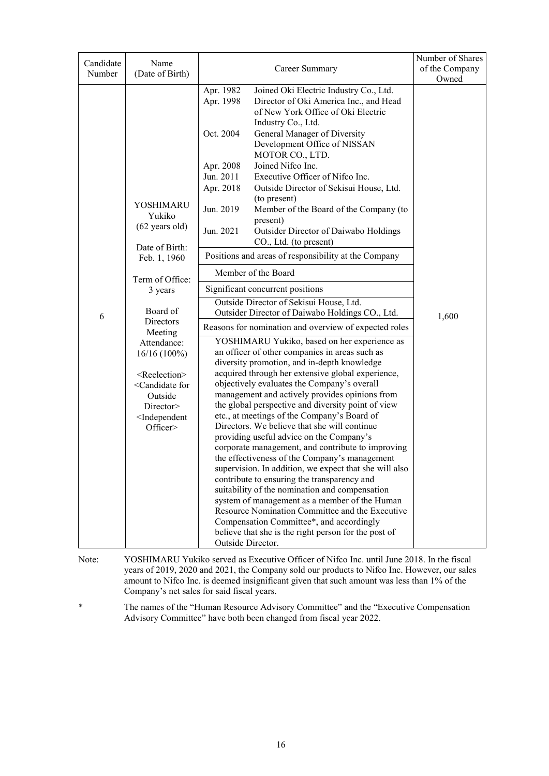| Owned<br>Apr. 1982<br>Joined Oki Electric Industry Co., Ltd.<br>Apr. 1998<br>Director of Oki America Inc., and Head<br>of New York Office of Oki Electric<br>Industry Co., Ltd.<br>Oct. 2004<br>General Manager of Diversity<br>Development Office of NISSAN<br>MOTOR CO., LTD.<br>Joined Nifco Inc.<br>Apr. 2008<br>Executive Officer of Nifco Inc.<br>Jun. 2011<br>Apr. 2018<br>Outside Director of Sekisui House, Ltd.<br>(to present)<br>YOSHIMARU<br>Jun. 2019<br>Member of the Board of the Company (to<br>Yukiko<br>present)<br>$(62 \text{ years old})$<br>Jun. 2021<br>Outsider Director of Daiwabo Holdings<br>CO., Ltd. (to present)<br>Date of Birth:<br>Positions and areas of responsibility at the Company<br>Feb. 1, 1960<br>Member of the Board<br>Term of Office:<br>Significant concurrent positions<br>3 years<br>Outside Director of Sekisui House, Ltd.<br>Board of<br>Outsider Director of Daiwabo Holdings CO., Ltd.<br>1,600<br>6<br>Directors<br>Reasons for nomination and overview of expected roles<br>Meeting<br>YOSHIMARU Yukiko, based on her experience as<br>Attendance:<br>an officer of other companies in areas such as<br>$16/16(100\%)$<br>diversity promotion, and in-depth knowledge | Candidate | Name            |                                                                                                                                                                                                                                                                                                                                                                                                                                       | Number of Shares |
|-------------------------------------------------------------------------------------------------------------------------------------------------------------------------------------------------------------------------------------------------------------------------------------------------------------------------------------------------------------------------------------------------------------------------------------------------------------------------------------------------------------------------------------------------------------------------------------------------------------------------------------------------------------------------------------------------------------------------------------------------------------------------------------------------------------------------------------------------------------------------------------------------------------------------------------------------------------------------------------------------------------------------------------------------------------------------------------------------------------------------------------------------------------------------------------------------------------------------------|-----------|-----------------|---------------------------------------------------------------------------------------------------------------------------------------------------------------------------------------------------------------------------------------------------------------------------------------------------------------------------------------------------------------------------------------------------------------------------------------|------------------|
|                                                                                                                                                                                                                                                                                                                                                                                                                                                                                                                                                                                                                                                                                                                                                                                                                                                                                                                                                                                                                                                                                                                                                                                                                               |           |                 |                                                                                                                                                                                                                                                                                                                                                                                                                                       |                  |
| acquired through her extensive global experience,<br><reelection><br/>objectively evaluates the Company's overall<br/><candidate for<br="">management and actively provides opinions from<br/>Outside<br/>the global perspective and diversity point of view<br/>Director&gt;<br/>etc., at meetings of the Company's Board of<br/><independent<br>Directors. We believe that she will continue<br/>Officer&gt;<br/>providing useful advice on the Company's</independent<br></candidate></reelection>                                                                                                                                                                                                                                                                                                                                                                                                                                                                                                                                                                                                                                                                                                                         | Number    | (Date of Birth) | Career Summary                                                                                                                                                                                                                                                                                                                                                                                                                        | of the Company   |
| corporate management, and contribute to improving                                                                                                                                                                                                                                                                                                                                                                                                                                                                                                                                                                                                                                                                                                                                                                                                                                                                                                                                                                                                                                                                                                                                                                             |           |                 | the effectiveness of the Company's management<br>supervision. In addition, we expect that she will also<br>contribute to ensuring the transparency and<br>suitability of the nomination and compensation<br>system of management as a member of the Human<br>Resource Nomination Committee and the Executive<br>Compensation Committee*, and accordingly<br>believe that she is the right person for the post of<br>Outside Director. |                  |

Note: YOSHIMARU Yukiko served as Executive Officer of Nifco Inc. until June 2018. In the fiscal years of 2019, 2020 and 2021, the Company sold our products to Nifco Inc. However, our sales amount to Nifco Inc. is deemed insignificant given that such amount was less than 1% of the Company's net sales for said fiscal years.

\* The names of the "Human Resource Advisory Committee" and the "Executive Compensation Advisory Committee" have both been changed from fiscal year 2022.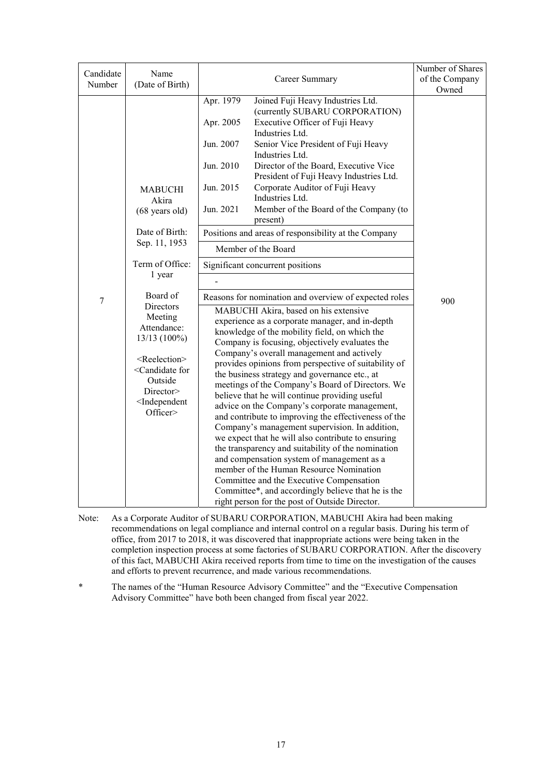| Candidate | Name                                                                                                 |                                                                                                   | Number of Shares |
|-----------|------------------------------------------------------------------------------------------------------|---------------------------------------------------------------------------------------------------|------------------|
| Number    | (Date of Birth)                                                                                      | Career Summary                                                                                    | of the Company   |
|           |                                                                                                      |                                                                                                   | Owned            |
|           |                                                                                                      | Apr. 1979<br>Joined Fuji Heavy Industries Ltd.                                                    |                  |
|           |                                                                                                      | (currently SUBARU CORPORATION)<br>Apr. 2005<br>Executive Officer of Fuji Heavy                    |                  |
|           |                                                                                                      | Industries Ltd.                                                                                   |                  |
|           |                                                                                                      | Jun. 2007<br>Senior Vice President of Fuji Heavy                                                  |                  |
|           |                                                                                                      | Industries Ltd.                                                                                   |                  |
|           |                                                                                                      | Jun. 2010<br>Director of the Board, Executive Vice                                                |                  |
|           |                                                                                                      | President of Fuji Heavy Industries Ltd.                                                           |                  |
|           | MABUCHI                                                                                              | Jun. 2015<br>Corporate Auditor of Fuji Heavy                                                      |                  |
|           | Akira                                                                                                | Industries Ltd.                                                                                   |                  |
|           | $(68 \text{ years old})$                                                                             | Jun. 2021<br>Member of the Board of the Company (to                                               |                  |
|           |                                                                                                      | present)                                                                                          |                  |
|           | Date of Birth:                                                                                       | Positions and areas of responsibility at the Company                                              |                  |
|           | Sep. 11, 1953                                                                                        | Member of the Board                                                                               |                  |
|           | Term of Office:                                                                                      | Significant concurrent positions                                                                  |                  |
|           | 1 year                                                                                               |                                                                                                   |                  |
| 7         | Board of                                                                                             | Reasons for nomination and overview of expected roles                                             | 900              |
|           | Directors                                                                                            | MABUCHI Akira, based on his extensive                                                             |                  |
|           | Meeting<br>Attendance:                                                                               | experience as a corporate manager, and in-depth                                                   |                  |
|           | 13/13 (100%)                                                                                         | knowledge of the mobility field, on which the                                                     |                  |
|           |                                                                                                      | Company is focusing, objectively evaluates the                                                    |                  |
|           | <reelection></reelection>                                                                            | Company's overall management and actively<br>provides opinions from perspective of suitability of |                  |
|           | <candidate for<="" td=""><td>the business strategy and governance etc., at</td><td></td></candidate> | the business strategy and governance etc., at                                                     |                  |
|           | Outside                                                                                              | meetings of the Company's Board of Directors. We                                                  |                  |
|           | Director>                                                                                            | believe that he will continue providing useful                                                    |                  |
|           | <independent< td=""><td>advice on the Company's corporate management,</td><td></td></independent<>   | advice on the Company's corporate management,                                                     |                  |
|           | Officer>                                                                                             | and contribute to improving the effectiveness of the                                              |                  |
|           |                                                                                                      | Company's management supervision. In addition,                                                    |                  |
|           |                                                                                                      | we expect that he will also contribute to ensuring                                                |                  |
|           |                                                                                                      | the transparency and suitability of the nomination                                                |                  |
|           |                                                                                                      | and compensation system of management as a<br>member of the Human Resource Nomination             |                  |
|           |                                                                                                      | Committee and the Executive Compensation                                                          |                  |
|           |                                                                                                      | Committee*, and accordingly believe that he is the                                                |                  |
|           |                                                                                                      | right person for the post of Outside Director.                                                    |                  |

- Note: As a Corporate Auditor of SUBARU CORPORATION, MABUCHI Akira had been making recommendations on legal compliance and internal control on a regular basis. During his term of office, from 2017 to 2018, it was discovered that inappropriate actions were being taken in the completion inspection process at some factories of SUBARU CORPORATION. After the discovery of this fact, MABUCHI Akira received reports from time to time on the investigation of the causes and efforts to prevent recurrence, and made various recommendations.
- \* The names of the "Human Resource Advisory Committee" and the "Executive Compensation Advisory Committee" have both been changed from fiscal year 2022.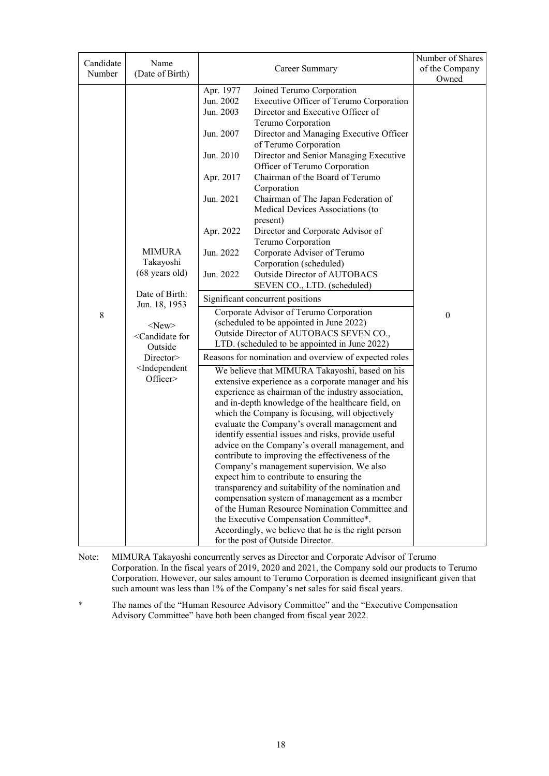| Candidate<br>Number | Name<br>(Date of Birth)                                                                                                                                                                                            | Career Summary                                                                                                                                                                                                                                                                                                                                                                                                                                                                                                                                                                                                                                                                                                                                                                                                                                                                                                                                                                                                                                                                                                                                                                                                                                                                                                                                                                                                                                                                                                                                                                                                                                                                                                                                                                                                                                                                                                | Number of Shares<br>of the Company<br>Owned |
|---------------------|--------------------------------------------------------------------------------------------------------------------------------------------------------------------------------------------------------------------|---------------------------------------------------------------------------------------------------------------------------------------------------------------------------------------------------------------------------------------------------------------------------------------------------------------------------------------------------------------------------------------------------------------------------------------------------------------------------------------------------------------------------------------------------------------------------------------------------------------------------------------------------------------------------------------------------------------------------------------------------------------------------------------------------------------------------------------------------------------------------------------------------------------------------------------------------------------------------------------------------------------------------------------------------------------------------------------------------------------------------------------------------------------------------------------------------------------------------------------------------------------------------------------------------------------------------------------------------------------------------------------------------------------------------------------------------------------------------------------------------------------------------------------------------------------------------------------------------------------------------------------------------------------------------------------------------------------------------------------------------------------------------------------------------------------------------------------------------------------------------------------------------------------|---------------------------------------------|
| $8\,$               | <b>MIMURA</b><br>Takayoshi<br>$(68 \text{ years old})$<br>Date of Birth:<br>Jun. 18, 1953<br>$<$ New $>$<br><candidate for<br="">Outside<br/>Director<br/><independent<br>Officer&gt;</independent<br></candidate> | Apr. 1977<br>Joined Terumo Corporation<br>Jun. 2002<br>Executive Officer of Terumo Corporation<br>Jun. 2003<br>Director and Executive Officer of<br>Terumo Corporation<br>Director and Managing Executive Officer<br>Jun. 2007<br>of Terumo Corporation<br>Jun. 2010<br>Director and Senior Managing Executive<br>Officer of Terumo Corporation<br>Chairman of the Board of Terumo<br>Apr. 2017<br>Corporation<br>Jun. 2021<br>Chairman of The Japan Federation of<br>Medical Devices Associations (to<br>present)<br>Apr. 2022<br>Director and Corporate Advisor of<br>Terumo Corporation<br>Jun. 2022<br>Corporate Advisor of Terumo<br>Corporation (scheduled)<br>Jun. 2022<br>Outside Director of AUTOBACS<br>SEVEN CO., LTD. (scheduled)<br>Significant concurrent positions<br>Corporate Advisor of Terumo Corporation<br>(scheduled to be appointed in June 2022)<br>Outside Director of AUTOBACS SEVEN CO.,<br>LTD. (scheduled to be appointed in June 2022)<br>Reasons for nomination and overview of expected roles<br>We believe that MIMURA Takayoshi, based on his<br>extensive experience as a corporate manager and his<br>experience as chairman of the industry association,<br>and in-depth knowledge of the healthcare field, on<br>which the Company is focusing, will objectively<br>evaluate the Company's overall management and<br>identify essential issues and risks, provide useful<br>advice on the Company's overall management, and<br>contribute to improving the effectiveness of the<br>Company's management supervision. We also<br>expect him to contribute to ensuring the<br>transparency and suitability of the nomination and<br>compensation system of management as a member<br>of the Human Resource Nomination Committee and<br>the Executive Compensation Committee*.<br>Accordingly, we believe that he is the right person<br>for the post of Outside Director. | $\boldsymbol{0}$                            |

Note: MIMURA Takayoshi concurrently serves as Director and Corporate Advisor of Terumo Corporation. In the fiscal years of 2019, 2020 and 2021, the Company sold our products to Terumo Corporation. However, our sales amount to Terumo Corporation is deemed insignificant given that such amount was less than 1% of the Company's net sales for said fiscal years.

\* The names of the "Human Resource Advisory Committee" and the "Executive Compensation Advisory Committee" have both been changed from fiscal year 2022.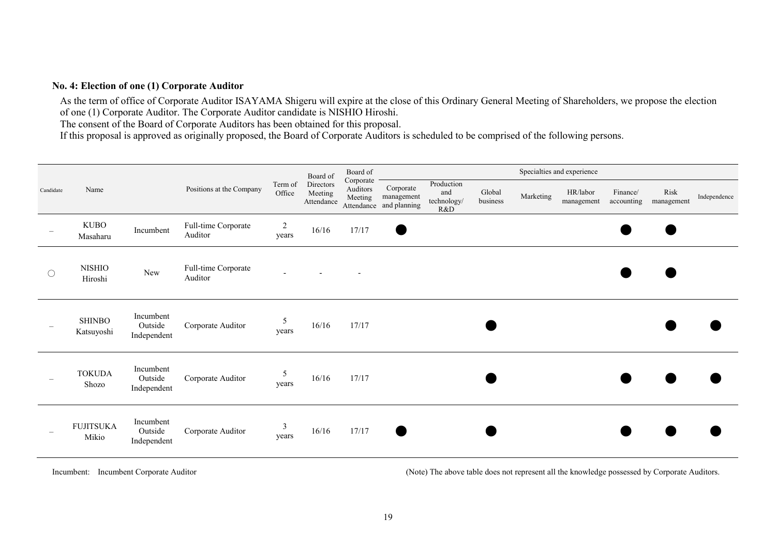#### **No. 4: Election of one (1) Corporate Auditor**

As the term of office of Corporate Auditor ISAYAMA Shigeru will expire at the close of this Ordinary General Meeting of Shareholders, we propose the election of one (1) Corporate Auditor. The Corporate Auditor candidate is NISHIO Hiroshi.

The consent of the Board of Corporate Auditors has been obtained for this proposal.

If this proposal is approved as originally proposed, the Board of Corporate Auditors is scheduled to be comprised of the following persons.

|                     |                             |                                     |                                |                          | Board of                           | Board of                         |                                                    |                                         |                    |           | Specialties and experience |                        |                    |              |
|---------------------|-----------------------------|-------------------------------------|--------------------------------|--------------------------|------------------------------------|----------------------------------|----------------------------------------------------|-----------------------------------------|--------------------|-----------|----------------------------|------------------------|--------------------|--------------|
| Candidate           | Name                        |                                     | Positions at the Company       | Term of<br>Office        | Directors<br>Meeting<br>Attendance | Corporate<br>Auditors<br>Meeting | Corporate<br>management<br>Attendance and planning | Production<br>and<br>technology/<br>R&D | Global<br>business | Marketing | HR/labor<br>management     | Finance/<br>accounting | Risk<br>management | Independence |
|                     | <b>KUBO</b><br>Masaharu     | Incumbent                           | Full-time Corporate<br>Auditor | $\overline{2}$<br>years  | 16/16                              | 17/17                            | $\bullet$                                          |                                         |                    |           |                            |                        |                    |              |
| $\circlearrowright$ | <b>NISHIO</b><br>Hiroshi    | New                                 | Full-time Corporate<br>Auditor | $\overline{\phantom{a}}$ |                                    |                                  |                                                    |                                         |                    |           |                            |                        |                    |              |
|                     | <b>SHINBO</b><br>Katsuyoshi | Incumbent<br>Outside<br>Independent | Corporate Auditor              | 5<br>years               | 16/16                              | 17/17                            |                                                    |                                         |                    |           |                            |                        |                    |              |
|                     | <b>TOKUDA</b><br>Shozo      | Incumbent<br>Outside<br>Independent | Corporate Auditor              | 5<br>years               | 16/16                              | 17/17                            |                                                    |                                         |                    |           |                            |                        |                    |              |
|                     | <b>FUJITSUKA</b><br>Mikio   | Incumbent<br>Outside<br>Independent | Corporate Auditor              | $\mathfrak{Z}$<br>years  | 16/16                              | 17/17                            | $\blacksquare$                                     |                                         |                    |           |                            |                        |                    |              |

Incumbent: Incumbent Corporate Auditor (Note) The above table does not represent all the knowledge possessed by Corporate Auditors.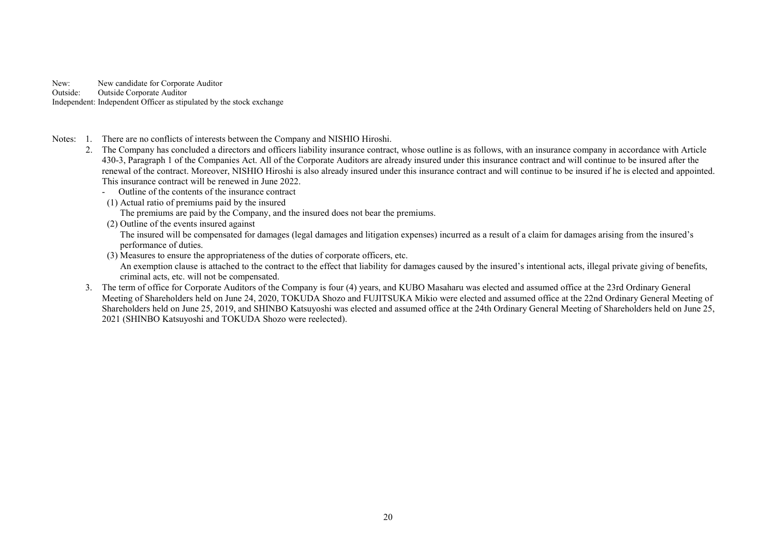New: New candidate for Corporate Auditor Outside: Outside Corporate Auditor Independent: Independent Officer as stipulated by the stock exchange

- Notes: 1. There are no conflicts of interests between the Company and NISHIO Hiroshi.
	- 2. The Company has concluded a directors and officers liability insurance contract, whose outline is as follows, with an insurance company in accordance with Article 430-3, Paragraph 1 of the Companies Act. All of the Corporate Auditors are already insured under this insurance contract and will continue to be insured after the renewal of the contract. Moreover, NISHIO Hiroshi is also already insured under this insurance contract and will continue to be insured if he is elected and appointed. This insurance contract will be renewed in June 2022.
		- Outline of the contents of the insurance contract
		- (1) Actual ratio of premiums paid by the insured
			- The premiums are paid by the Company, and the insured does not bear the premiums.
		- (2) Outline of the events insured against

The insured will be compensated for damages (legal damages and litigation expenses) incurred as a result of a claim for damages arising from the insured's performance of duties.

(3) Measures to ensure the appropriateness of the duties of corporate officers, etc.

An exemption clause is attached to the contract to the effect that liability for damages caused by the insured's intentional acts, illegal private giving of benefits, criminal acts, etc. will not be compensated.

 3. The term of office for Corporate Auditors of the Company is four (4) years, and KUBO Masaharu was elected and assumed office at the 23rd Ordinary General Meeting of Shareholders held on June 24, 2020, TOKUDA Shozo and FUJITSUKA Mikio were elected and assumed office at the 22nd Ordinary General Meeting of Shareholders held on June 25, 2019, and SHINBO Katsuyoshi was elected and assumed office at the 24th Ordinary General Meeting of Shareholders held on June 25, 2021 (SHINBO Katsuyoshi and TOKUDA Shozo were reelected).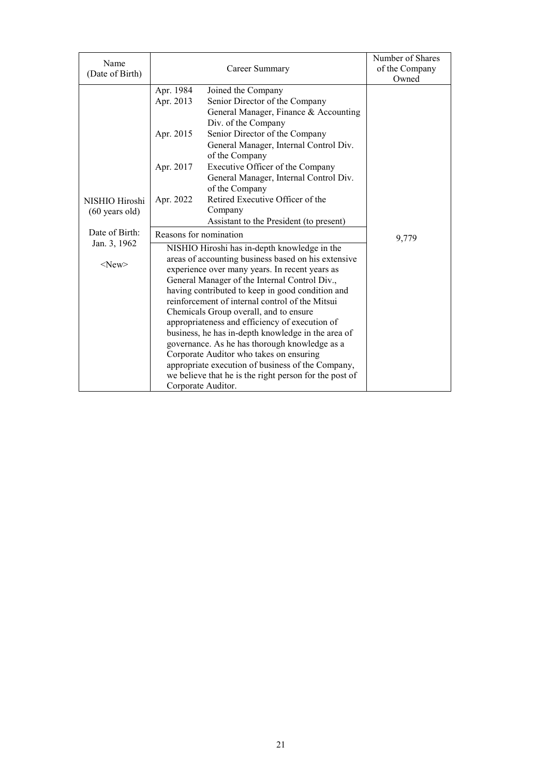| Apr. 1984<br>Joined the Company<br>Apr. 2013<br>Senior Director of the Company<br>General Manager, Finance & Accounting |
|-------------------------------------------------------------------------------------------------------------------------|
|                                                                                                                         |
|                                                                                                                         |
|                                                                                                                         |
| Div. of the Company                                                                                                     |
| Senior Director of the Company<br>Apr. 2015                                                                             |
| General Manager, Internal Control Div.                                                                                  |
| of the Company                                                                                                          |
| Apr. 2017<br>Executive Officer of the Company                                                                           |
| General Manager, Internal Control Div.                                                                                  |
| of the Company                                                                                                          |
| Retired Executive Officer of the<br>Apr. 2022<br>NISHIO Hiroshi                                                         |
| Company<br>$(60 \text{ years old})$                                                                                     |
| Assistant to the President (to present)                                                                                 |
| Date of Birth:<br>Reasons for nomination<br>9,779                                                                       |
| Jan. 3, 1962<br>NISHIO Hiroshi has in-depth knowledge in the                                                            |
| areas of accounting business based on his extensive<br>$<$ New $>$                                                      |
| experience over many years. In recent years as                                                                          |
| General Manager of the Internal Control Div.,                                                                           |
| having contributed to keep in good condition and                                                                        |
| reinforcement of internal control of the Mitsui                                                                         |
| Chemicals Group overall, and to ensure                                                                                  |
| appropriateness and efficiency of execution of                                                                          |
| business, he has in-depth knowledge in the area of                                                                      |
| governance. As he has thorough knowledge as a                                                                           |
| Corporate Auditor who takes on ensuring                                                                                 |
| appropriate execution of business of the Company,<br>we believe that he is the right person for the post of             |
| Corporate Auditor.                                                                                                      |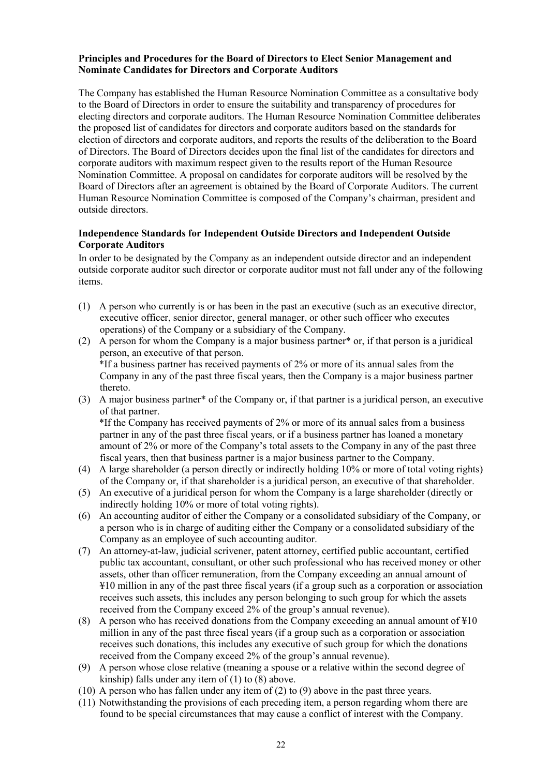### **Principles and Procedures for the Board of Directors to Elect Senior Management and Nominate Candidates for Directors and Corporate Auditors**

The Company has established the Human Resource Nomination Committee as a consultative body to the Board of Directors in order to ensure the suitability and transparency of procedures for electing directors and corporate auditors. The Human Resource Nomination Committee deliberates the proposed list of candidates for directors and corporate auditors based on the standards for election of directors and corporate auditors, and reports the results of the deliberation to the Board of Directors. The Board of Directors decides upon the final list of the candidates for directors and corporate auditors with maximum respect given to the results report of the Human Resource Nomination Committee. A proposal on candidates for corporate auditors will be resolved by the Board of Directors after an agreement is obtained by the Board of Corporate Auditors. The current Human Resource Nomination Committee is composed of the Company's chairman, president and outside directors.

### **Independence Standards for Independent Outside Directors and Independent Outside Corporate Auditors**

In order to be designated by the Company as an independent outside director and an independent outside corporate auditor such director or corporate auditor must not fall under any of the following items.

- (1) A person who currently is or has been in the past an executive (such as an executive director, executive officer, senior director, general manager, or other such officer who executes operations) of the Company or a subsidiary of the Company.
- (2) A person for whom the Company is a major business partner<sup>\*</sup> or, if that person is a juridical person, an executive of that person. \*If a business partner has received payments of 2% or more of its annual sales from the Company in any of the past three fiscal years, then the Company is a major business partner thereto.
- (3) A major business partner\* of the Company or, if that partner is a juridical person, an executive of that partner.

 \*If the Company has received payments of 2% or more of its annual sales from a business partner in any of the past three fiscal years, or if a business partner has loaned a monetary amount of 2% or more of the Company's total assets to the Company in any of the past three fiscal years, then that business partner is a major business partner to the Company.

- (4) A large shareholder (a person directly or indirectly holding 10% or more of total voting rights) of the Company or, if that shareholder is a juridical person, an executive of that shareholder.
- (5) An executive of a juridical person for whom the Company is a large shareholder (directly or indirectly holding 10% or more of total voting rights).
- (6) An accounting auditor of either the Company or a consolidated subsidiary of the Company, or a person who is in charge of auditing either the Company or a consolidated subsidiary of the Company as an employee of such accounting auditor.
- (7) An attorney-at-law, judicial scrivener, patent attorney, certified public accountant, certified public tax accountant, consultant, or other such professional who has received money or other assets, other than officer remuneration, from the Company exceeding an annual amount of ¥10 million in any of the past three fiscal years (if a group such as a corporation or association receives such assets, this includes any person belonging to such group for which the assets received from the Company exceed 2% of the group's annual revenue).
- (8) A person who has received donations from the Company exceeding an annual amount of  $\text{\#}10$ million in any of the past three fiscal years (if a group such as a corporation or association receives such donations, this includes any executive of such group for which the donations received from the Company exceed 2% of the group's annual revenue).
- (9) A person whose close relative (meaning a spouse or a relative within the second degree of kinship) falls under any item of (1) to (8) above.
- (10) A person who has fallen under any item of (2) to (9) above in the past three years.
- (11) Notwithstanding the provisions of each preceding item, a person regarding whom there are found to be special circumstances that may cause a conflict of interest with the Company.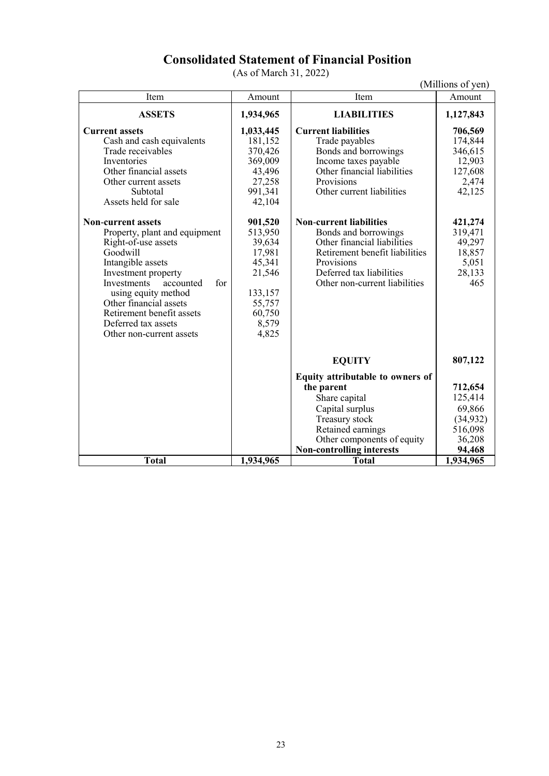## **Consolidated Statement of Financial Position**

(As of March 31, 2022)

|                                                                                                                                                                                                                                                                                                                                                                                                                                                                                               |                                                                                                                                                                                                    |                                                                                                                                                                                                                                                                                                                                                                              | (Millions of yen)                                                                                                                         |
|-----------------------------------------------------------------------------------------------------------------------------------------------------------------------------------------------------------------------------------------------------------------------------------------------------------------------------------------------------------------------------------------------------------------------------------------------------------------------------------------------|----------------------------------------------------------------------------------------------------------------------------------------------------------------------------------------------------|------------------------------------------------------------------------------------------------------------------------------------------------------------------------------------------------------------------------------------------------------------------------------------------------------------------------------------------------------------------------------|-------------------------------------------------------------------------------------------------------------------------------------------|
| Item                                                                                                                                                                                                                                                                                                                                                                                                                                                                                          | Amount                                                                                                                                                                                             | Item                                                                                                                                                                                                                                                                                                                                                                         | Amount                                                                                                                                    |
| <b>ASSETS</b>                                                                                                                                                                                                                                                                                                                                                                                                                                                                                 | 1,934,965                                                                                                                                                                                          | <b>LIABILITIES</b>                                                                                                                                                                                                                                                                                                                                                           | 1,127,843                                                                                                                                 |
| <b>Current assets</b><br>Cash and cash equivalents<br>Trade receivables<br>Inventories<br>Other financial assets<br>Other current assets<br>Subtotal<br>Assets held for sale<br><b>Non-current assets</b><br>Property, plant and equipment<br>Right-of-use assets<br>Goodwill<br>Intangible assets<br>Investment property<br>Investments<br>for<br>accounted<br>using equity method<br>Other financial assets<br>Retirement benefit assets<br>Deferred tax assets<br>Other non-current assets | 1,033,445<br>181,152<br>370,426<br>369,009<br>43,496<br>27,258<br>991,341<br>42,104<br>901,520<br>513,950<br>39,634<br>17,981<br>45,341<br>21,546<br>133,157<br>55,757<br>60,750<br>8,579<br>4,825 | <b>Current liabilities</b><br>Trade payables<br>Bonds and borrowings<br>Income taxes payable<br>Other financial liabilities<br>Provisions<br>Other current liabilities<br><b>Non-current liabilities</b><br>Bonds and borrowings<br>Other financial liabilities<br>Retirement benefit liabilities<br>Provisions<br>Deferred tax liabilities<br>Other non-current liabilities | 706,569<br>174,844<br>346,615<br>12,903<br>127,608<br>2,474<br>42,125<br>421,274<br>319,471<br>49,297<br>18,857<br>5,051<br>28,133<br>465 |
|                                                                                                                                                                                                                                                                                                                                                                                                                                                                                               |                                                                                                                                                                                                    | <b>EQUITY</b>                                                                                                                                                                                                                                                                                                                                                                | 807,122                                                                                                                                   |
|                                                                                                                                                                                                                                                                                                                                                                                                                                                                                               |                                                                                                                                                                                                    | Equity attributable to owners of<br>the parent<br>Share capital<br>Capital surplus<br>Treasury stock<br>Retained earnings<br>Other components of equity<br><b>Non-controlling interests</b>                                                                                                                                                                                  | 712,654<br>125,414<br>69,866<br>(34, 932)<br>516,098<br>36,208<br>94,468                                                                  |
| <b>Total</b>                                                                                                                                                                                                                                                                                                                                                                                                                                                                                  | 1,934,965                                                                                                                                                                                          | <b>Total</b>                                                                                                                                                                                                                                                                                                                                                                 | 1,934,965                                                                                                                                 |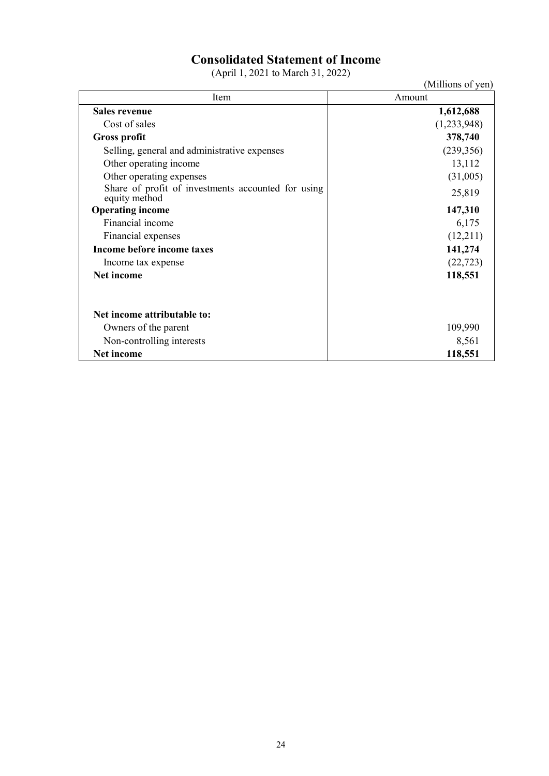# **Consolidated Statement of Income**

(April 1, 2021 to March 31, 2022)

| $(1.1)$ is $(1.1)$ is $(2.1)$ in $(3.1)$ is $(1.1)$ if $(2.1)$ is $(3.1)$ if $(2.1)$ is $(3.1)$ if $(3.1)$ is $(3.1)$ if $(3.1)$ if $(3.1)$ if $(3.1)$ if $(3.1)$ if $(3.1)$ if $(3.1)$ if $(3.1)$ if $(3.1)$ if $(3.1)$ if | (Millions of yen) |
|-----------------------------------------------------------------------------------------------------------------------------------------------------------------------------------------------------------------------------|-------------------|
| Item                                                                                                                                                                                                                        | Amount            |
| <b>Sales revenue</b>                                                                                                                                                                                                        | 1,612,688         |
| Cost of sales                                                                                                                                                                                                               | (1,233,948)       |
| <b>Gross profit</b>                                                                                                                                                                                                         | 378,740           |
| Selling, general and administrative expenses                                                                                                                                                                                | (239, 356)        |
| Other operating income                                                                                                                                                                                                      | 13,112            |
| Other operating expenses                                                                                                                                                                                                    | (31,005)          |
| Share of profit of investments accounted for using<br>equity method                                                                                                                                                         | 25,819            |
| <b>Operating income</b>                                                                                                                                                                                                     | 147,310           |
| Financial income                                                                                                                                                                                                            | 6,175             |
| Financial expenses                                                                                                                                                                                                          | (12,211)          |
| Income before income taxes                                                                                                                                                                                                  | 141,274           |
| Income tax expense                                                                                                                                                                                                          | (22, 723)         |
| Net income                                                                                                                                                                                                                  | 118,551           |
| Net income attributable to:                                                                                                                                                                                                 |                   |
| Owners of the parent                                                                                                                                                                                                        | 109,990           |
| Non-controlling interests                                                                                                                                                                                                   | 8,561             |
| Net income                                                                                                                                                                                                                  | 118,551           |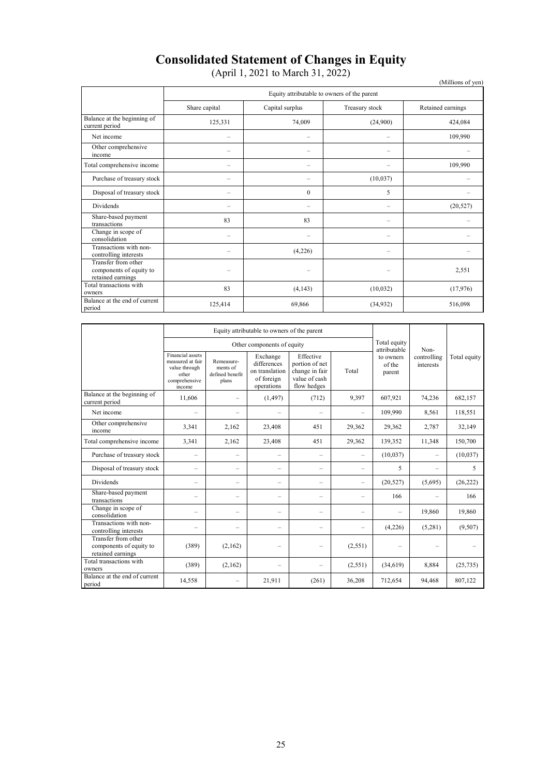# **Consolidated Statement of Changes in Equity**

(April 1, 2021 to March 31, 2022)

|                                                                     |                                             | $(2.1)$ $(2.1)$ $(3.1)$ $(0.1)$ $(0.1)$ $(0.1)$ $(0.1)$ |                          | (Millions of yen) |  |  |  |  |  |  |
|---------------------------------------------------------------------|---------------------------------------------|---------------------------------------------------------|--------------------------|-------------------|--|--|--|--|--|--|
|                                                                     | Equity attributable to owners of the parent |                                                         |                          |                   |  |  |  |  |  |  |
|                                                                     | Share capital                               | Capital surplus                                         | Treasury stock           | Retained earnings |  |  |  |  |  |  |
| Balance at the beginning of<br>current period                       | 125,331                                     | 74,009                                                  | (24,900)                 | 424,084           |  |  |  |  |  |  |
| Net income                                                          |                                             |                                                         |                          | 109,990           |  |  |  |  |  |  |
| Other comprehensive<br>income                                       |                                             |                                                         | -                        |                   |  |  |  |  |  |  |
| Total comprehensive income                                          | $\overline{\phantom{0}}$                    | $\overline{\phantom{0}}$                                | -                        | 109,990           |  |  |  |  |  |  |
| Purchase of treasury stock                                          | -                                           | -                                                       | (10,037)                 |                   |  |  |  |  |  |  |
| Disposal of treasury stock                                          | -                                           | $\mathbf{0}$                                            | 5                        |                   |  |  |  |  |  |  |
| <b>Dividends</b>                                                    | $\overline{\phantom{0}}$                    | $\overline{\phantom{0}}$                                | -                        | (20, 527)         |  |  |  |  |  |  |
| Share-based payment<br>transactions                                 | 83                                          | 83                                                      | -                        |                   |  |  |  |  |  |  |
| Change in scope of<br>consolidation                                 | -                                           |                                                         | -                        |                   |  |  |  |  |  |  |
| Transactions with non-<br>controlling interests                     |                                             | (4,226)                                                 | $\overline{\phantom{0}}$ |                   |  |  |  |  |  |  |
| Transfer from other<br>components of equity to<br>retained earnings | -                                           | $\overline{\phantom{0}}$                                | -                        | 2,551             |  |  |  |  |  |  |
| Total transactions with<br>owners                                   | 83                                          | (4, 143)                                                | (10,032)                 | (17,976)          |  |  |  |  |  |  |
| Balance at the end of current<br>period                             | 125,414                                     | 69,866                                                  | (34,932)                 | 516,098           |  |  |  |  |  |  |

|                                                                     |                                                                                           | Equity attributable to owners of the parent        |                                                                       |                                                                               |                          |                               |                          |              |
|---------------------------------------------------------------------|-------------------------------------------------------------------------------------------|----------------------------------------------------|-----------------------------------------------------------------------|-------------------------------------------------------------------------------|--------------------------|-------------------------------|--------------------------|--------------|
|                                                                     |                                                                                           | Other components of equity                         | Total equity<br>attributable                                          | Non-                                                                          |                          |                               |                          |              |
|                                                                     | Financial assets<br>measured at fair<br>value through<br>other<br>comprehensive<br>income | Remeasure-<br>ments of<br>defined benefit<br>plans | Exchange<br>differences<br>on translation<br>of foreign<br>operations | Effective<br>portion of net<br>change in fair<br>value of cash<br>flow hedges | Total                    | to owners<br>of the<br>parent | controlling<br>interests | Total equity |
| Balance at the beginning of<br>current period                       | 11,606                                                                                    | $\equiv$                                           | (1, 497)                                                              | (712)                                                                         | 9,397                    | 607,921                       | 74,236                   | 682,157      |
| Net income                                                          | $=$                                                                                       | $\equiv$                                           |                                                                       |                                                                               | $\overline{\phantom{0}}$ | 109,990                       | 8,561                    | 118,551      |
| Other comprehensive<br>income                                       | 3,341                                                                                     | 2,162                                              | 23,408                                                                | 451                                                                           | 29,362                   | 29,362                        | 2,787                    | 32,149       |
| Total comprehensive income                                          | 3,341                                                                                     | 2,162                                              | 23,408                                                                | 451                                                                           | 29,362                   | 139,352                       | 11,348                   | 150,700      |
| Purchase of treasury stock                                          | $\equiv$                                                                                  | $\equiv$                                           | $=$                                                                   | -                                                                             | $\frac{1}{2}$            | (10,037)                      | $\overline{\phantom{m}}$ | (10,037)     |
| Disposal of treasury stock                                          | $=$                                                                                       | $\overline{\phantom{0}}$                           |                                                                       | -                                                                             |                          | 5                             | $\overline{\phantom{0}}$ | 5            |
| <b>Dividends</b>                                                    | $\equiv$                                                                                  | $\equiv$                                           | -                                                                     | -                                                                             | $\overline{\phantom{0}}$ | (20, 527)                     | (5,695)                  | (26, 222)    |
| Share-based payment<br>transactions                                 | -                                                                                         | -                                                  |                                                                       | ÷                                                                             |                          | 166                           |                          | 166          |
| Change in scope of<br>consolidation                                 | $\equiv$                                                                                  | $\overline{\phantom{0}}$                           | $\equiv$                                                              | ÷                                                                             | -                        |                               | 19,860                   | 19,860       |
| Transactions with non-<br>controlling interests                     |                                                                                           | $\overline{\phantom{a}}$                           |                                                                       | ÷                                                                             |                          | (4,226)                       | (5,281)                  | (9,507)      |
| Transfer from other<br>components of equity to<br>retained earnings | (389)                                                                                     | (2,162)                                            |                                                                       |                                                                               | (2, 551)                 |                               |                          |              |
| Total transactions with<br>owners                                   | (389)                                                                                     | (2,162)                                            |                                                                       |                                                                               | (2, 551)                 | (34, 619)                     | 8,884                    | (25, 735)    |
| Balance at the end of current<br>period                             | 14,558                                                                                    | $\overline{\phantom{0}}$                           | 21.911                                                                | (261)                                                                         | 36,208                   | 712.654                       | 94,468                   | 807,122      |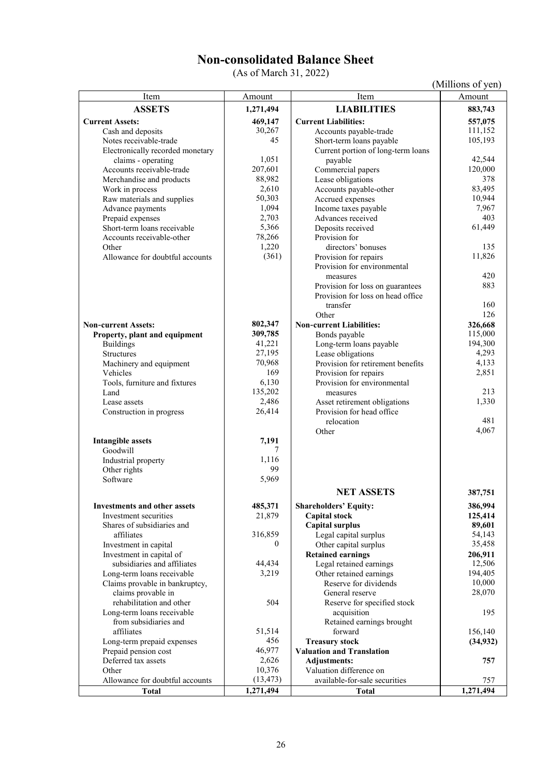# **Non-consolidated Balance Sheet**

(As of March 31, 2022)

(Millions of yen)

| Item                                        | Amount           | Item                                                    | Amount           |
|---------------------------------------------|------------------|---------------------------------------------------------|------------------|
| <b>ASSETS</b>                               | 1,271,494        | <b>LIABILITIES</b>                                      | 883,743          |
| <b>Current Assets:</b>                      | 469,147          | <b>Current Liabilities:</b>                             | 557,075          |
| Cash and deposits                           | 30,267           | Accounts payable-trade                                  | 111,152          |
| Notes receivable-trade                      | 45               | Short-term loans payable                                | 105,193          |
| Electronically recorded monetary            |                  | Current portion of long-term loans                      |                  |
| claims - operating                          | 1,051            | payable                                                 | 42,544           |
| Accounts receivable-trade                   | 207,601          | Commercial papers                                       | 120,000          |
| Merchandise and products                    | 88,982           | Lease obligations                                       | 378              |
| Work in process                             | 2,610            | Accounts payable-other                                  | 83,495           |
| Raw materials and supplies                  | 50,303           | Accrued expenses                                        | 10,944           |
| Advance payments                            | 1,094            | Income taxes payable                                    | 7,967            |
| Prepaid expenses                            | 2,703            | Advances received                                       | 403              |
| Short-term loans receivable                 | 5,366            | Deposits received                                       | 61,449           |
| Accounts receivable-other                   | 78,266           | Provision for                                           |                  |
| Other                                       | 1,220            | directors' bonuses                                      | 135              |
| Allowance for doubtful accounts             | (361)            | Provision for repairs                                   | 11,826           |
|                                             |                  | Provision for environmental                             |                  |
|                                             |                  | measures                                                | 420              |
|                                             |                  | Provision for loss on guarantees                        | 883              |
|                                             |                  | Provision for loss on head office                       |                  |
|                                             |                  | transfer                                                | 160              |
|                                             |                  | Other                                                   | 126              |
| <b>Non-current Assets:</b>                  | 802,347          | <b>Non-current Liabilities:</b>                         | 326,668          |
| Property, plant and equipment               | 309,785          | Bonds payable                                           | 115,000          |
| <b>Buildings</b>                            | 41,221           | Long-term loans payable                                 | 194,300<br>4,293 |
| <b>Structures</b>                           | 27,195<br>70,968 | Lease obligations                                       | 4,133            |
| Machinery and equipment<br>Vehicles         | 169              | Provision for retirement benefits                       | 2,851            |
| Tools, furniture and fixtures               | 6,130            | Provision for repairs<br>Provision for environmental    |                  |
| Land                                        | 135,202          | measures                                                | 213              |
| Lease assets                                | 2,486            | Asset retirement obligations                            | 1,330            |
| Construction in progress                    | 26,414           | Provision for head office                               |                  |
|                                             |                  | relocation                                              | 481              |
|                                             |                  | Other                                                   | 4,067            |
| <b>Intangible assets</b>                    | 7,191            |                                                         |                  |
| Goodwill                                    | 7                |                                                         |                  |
| Industrial property                         | 1,116            |                                                         |                  |
| Other rights                                | 99               |                                                         |                  |
| Software                                    | 5,969            |                                                         |                  |
|                                             |                  | <b>NET ASSETS</b>                                       | 387,751          |
| <b>Investments and other assets</b>         | 485,371          | <b>Shareholders' Equity:</b>                            | 386,994          |
| Investment securities                       | 21,879           | <b>Capital stock</b>                                    | 125,414          |
| Shares of subsidiaries and                  |                  | <b>Capital surplus</b>                                  | 89,601           |
| affiliates                                  | 316,859          | Legal capital surplus                                   | 54,143           |
| Investment in capital                       | $\mathbf{0}$     | Other capital surplus                                   | 35,458           |
| Investment in capital of                    |                  | <b>Retained earnings</b>                                | 206,911          |
| subsidiaries and affiliates                 | 44,434           | Legal retained earnings                                 | 12,506           |
| Long-term loans receivable                  | 3,219            | Other retained earnings                                 | 194,405          |
| Claims provable in bankruptcy,              |                  | Reserve for dividends                                   | 10,000           |
| claims provable in                          |                  | General reserve                                         | 28,070           |
| rehabilitation and other                    | 504              | Reserve for specified stock                             |                  |
| Long-term loans receivable                  |                  | acquisition                                             | 195              |
| from subsidiaries and                       |                  | Retained earnings brought                               |                  |
| affiliates                                  | 51,514           | forward                                                 | 156,140          |
| Long-term prepaid expenses                  | 456<br>46,977    | <b>Treasury stock</b>                                   | (34, 932)        |
| Prepaid pension cost<br>Deferred tax assets | 2,626            | <b>Valuation and Translation</b><br><b>Adjustments:</b> | 757              |
| Other                                       | 10,376           | Valuation difference on                                 |                  |
| Allowance for doubtful accounts             | (13, 473)        | available-for-sale securities                           | 757              |
| <b>Total</b>                                | 1,271,494        | <b>Total</b>                                            | 1,271,494        |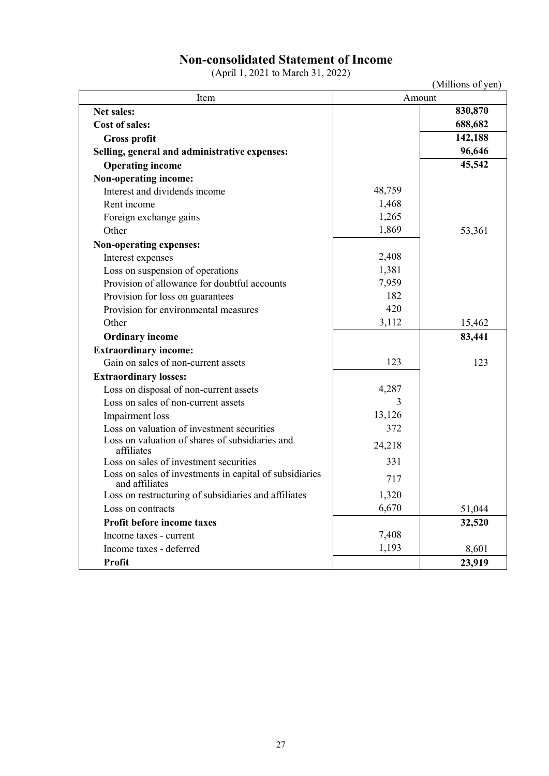### **Non-consolidated Statement of Income**

(April 1, 2021 to March 31, 2022)

(Millions of yen)

| Item                                                                      | (TAHIHOIIS OL YUIL)<br>Amount |         |  |  |
|---------------------------------------------------------------------------|-------------------------------|---------|--|--|
| <b>Net sales:</b>                                                         |                               | 830,870 |  |  |
| <b>Cost of sales:</b>                                                     |                               | 688,682 |  |  |
| <b>Gross profit</b>                                                       |                               | 142,188 |  |  |
| Selling, general and administrative expenses:                             |                               | 96,646  |  |  |
| <b>Operating income</b>                                                   |                               | 45,542  |  |  |
| Non-operating income:                                                     |                               |         |  |  |
| Interest and dividends income                                             | 48,759                        |         |  |  |
| Rent income                                                               | 1,468                         |         |  |  |
| Foreign exchange gains                                                    | 1,265                         |         |  |  |
| Other                                                                     | 1,869                         | 53,361  |  |  |
| Non-operating expenses:                                                   |                               |         |  |  |
| Interest expenses                                                         | 2,408                         |         |  |  |
| Loss on suspension of operations                                          | 1,381                         |         |  |  |
| Provision of allowance for doubtful accounts                              | 7,959                         |         |  |  |
| Provision for loss on guarantees                                          | 182                           |         |  |  |
| Provision for environmental measures                                      | 420                           |         |  |  |
| Other                                                                     | 3,112                         | 15,462  |  |  |
| <b>Ordinary income</b>                                                    |                               | 83,441  |  |  |
| <b>Extraordinary income:</b>                                              |                               |         |  |  |
| Gain on sales of non-current assets                                       | 123                           | 123     |  |  |
| <b>Extraordinary losses:</b>                                              |                               |         |  |  |
| Loss on disposal of non-current assets                                    | 4,287                         |         |  |  |
| Loss on sales of non-current assets                                       | 3                             |         |  |  |
| Impairment loss                                                           | 13,126                        |         |  |  |
| Loss on valuation of investment securities                                | 372                           |         |  |  |
| Loss on valuation of shares of subsidiaries and<br>affiliates             | 24,218                        |         |  |  |
| Loss on sales of investment securities                                    | 331                           |         |  |  |
| Loss on sales of investments in capital of subsidiaries<br>and affiliates | 717                           |         |  |  |
| Loss on restructuring of subsidiaries and affiliates                      | 1,320                         |         |  |  |
| Loss on contracts                                                         | 6,670                         | 51,044  |  |  |
| Profit before income taxes                                                |                               | 32,520  |  |  |
| Income taxes - current                                                    | 7,408                         |         |  |  |
| Income taxes - deferred                                                   | 1,193                         | 8,601   |  |  |
| <b>Profit</b>                                                             |                               | 23,919  |  |  |